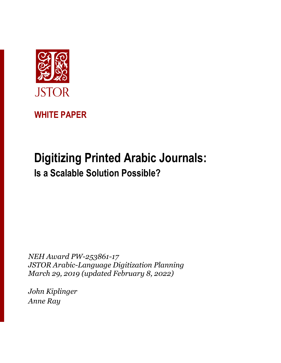

# **WHITE PAPER**

# **Digitizing Printed Arabic Journals: Is a Scalable Solution Possible?**

*NEH Award PW-253861-17 JSTOR Arabic-Language Digitization Planning March 29, 2019 (updated February 8, 2022)*

*John Kiplinger Anne Ray*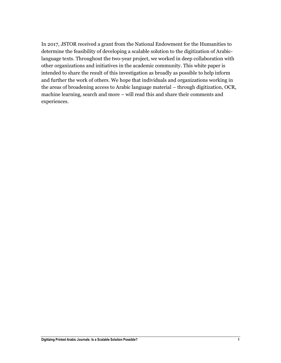In 2017, JSTOR received a grant from the National Endowment for the Humanities to determine the feasibility of developing a scalable solution to the digitization of Arabiclanguage texts. Throughout the two-year project, we worked in deep collaboration with other organizations and initiatives in the academic community. This white paper is intended to share the result of this investigation as broadly as possible to help inform and further the work of others. We hope that individuals and organizations working in the areas of broadening access to Arabic language material – through digitization, OCR, machine learning, search and more – will read this and share their comments and experiences.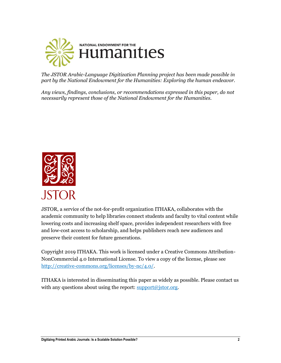

*The JSTOR Arabic-Language Digitization Planning project has been made possible in part by the National Endowment for the Humanities: Exploring the human endeavor.*

*Any views, findings, conclusions, or recommendations expressed in this paper, do not necessarily represent those of the National Endowment for the Humanities.*



JSTOR, a service of the not-for-profit organization ITHAKA, collaborates with the academic community to help libraries connect students and faculty to vital content while lowering costs and increasing shelf space, provides independent researchers with free and low-cost access to scholarship, and helps publishers reach new audiences and preserve their content for future generations.

Copyright 2019 ITHAKA. This work is licensed under a Creative Commons Attribution-NonCommercial 4.0 International License. To view a copy of the license, please see [http://creative-commons.org/licenses/by-nc/4.0/.](http://creative-commons.org/licenses/by-nc/4.0/)

ITHAKA is interested in disseminating this paper as widely as possible. Please contact us with any questions about using the report:  $\frac{\text{support@jstor.org}}{\text{support@jstor.org}}$ .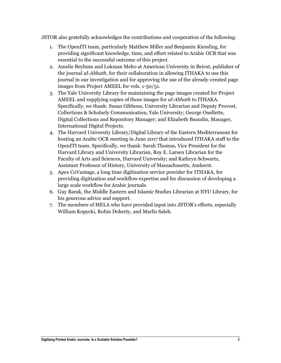JSTOR also gratefully acknowledges the contributions and cooperation of the following:

- 1. The OpenITI team, particularly Matthew Miller and Benjamin Kiessling, for providing significant knowledge, time, and effort related to Arabic OCR that was essential to the successful outcome of this project.
- 2. Amelie Beyhum and Lokman Meho at American University in Beirut, publisher of the journal *al-Abhath*, for their collaboration in allowing ITHAKA to use this journal in our investigation and for approving the use of the already-created page images from Project AMEEL for vols. 1-50/51.
- 3. The Yale University Library for maintaining the page images created for Project AMEEL and supplying copies of those images for *al-Abhath* to ITHAKA. Specifically, we thank: Susan Gibbons, University Librarian and Deputy Provost, Collections & Scholarly Communication, Yale University; George Ouellette, Digital Collections and Repository Manager; and Elizabeth Beaudin, Manager, International Digital Projects.
- 4. The Harvard University Library/Digital Library of the Eastern Mediterranean for hosting an Arabic OCR meeting in June 2017 that introduced ITHAKA staff to the OpenITI team. Specifically, we thank: Sarah Thomas, Vice President for the Harvard Library and University Librarian, Roy E. Larsen Librarian for the Faculty of Arts and Sciences, Harvard University; and Kathryn Schwartz, Assistant Professor of History, University of Massachusetts, Amherst.
- 5. Apex CoVantage, a long time digitization service provider for ITHAKA, for providing digitization and workflow expertise and for discussion of developing a large scale workflow for Arabic journals.
- 6. Guy Barak, the Middle Eastern and Islamic Studies Librarian at NYU Library, for his generous advice and support.
- 7. The members of MELA who have provided input into JSTOR's efforts, especially William Kopycki, Robin Doherty, and Marlis Saleh.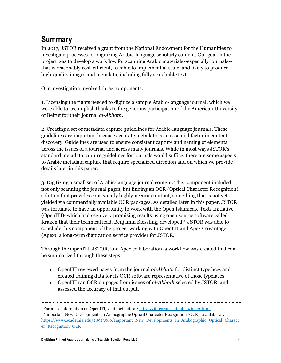# **Summary**

In 2017, JSTOR received a grant from the National Endowment for the Humanities to investigate processes for digitizing Arabic-language scholarly content. Our goal in the project was to develop a workflow for scanning Arabic materials--especially journals- that is reasonably cost-efficient, feasible to implement at scale, and likely to produce high-quality images and metadata, including fully searchable text.

Our investigation involved three components:

1. Licensing the rights needed to digitize a sample Arabic-language journal, which we were able to accomplish thanks to the generous participation of the American University of Beirut for their journal *al-Abhath.*

2. Creating a set of metadata capture guidelines for Arabic-language journals. These guidelines are important because accurate metadata is an essential factor in content discovery. Guidelines are used to ensure consistent capture and naming of elements across the issues of a journal and across many journals. While in most ways JSTOR's standard metadata capture guidelines for journals would suffice, there are some aspects to Arabic metadata capture that require specialized direction and on which we provide details later in this paper.

3. Digitizing a small set of Arabic-language journal content. This component included not only scanning the journal pages, but finding an OCR (Optical Character Recognition) solution that provides consistently highly-accurate output, something that is not yet yielded via commercially available OCR packages. As detailed later in this paper, JSTOR was fortunate to have an opportunity to work with the Open Islamicate Texts Initiative (OpenITI)<sup>1</sup> which had seen very promising results using open source software called Kraken that their technical lead, Benjamin Kiessling, developed. <sup>2</sup> JSTOR was able to conclude this component of the project working with OpenITI and Apex CoVantage (Apex), a long-term digitization service provider for JSTOR.

Through the OpenITI, JSTOR, and Apex collaboration, a workflow was created that can be summarized through these steps:

- OpenITI reviewed pages from the journal *al-Abhath* for distinct typefaces and created training data for its OCR software representative of those typefaces.
- OpenITI ran OCR on pages from issues of *al-Abhath* selected by JSTOR, and assessed the accuracy of that output.

<sup>1</sup> For more information on OpenITI, visit their site at: [https://iti-corpus.github.io/index.html.](https://iti-corpus.github.io/index.html)

<sup>&</sup>lt;sup>2</sup> "Important New Developments in Arabographic Optical Character Recognition (OCR)" available at: [https://www.academia.edu/28923960/Important\\_New\\_Developments\\_in\\_Arabographic\\_Optical\\_Charact](https://www.academia.edu/28923960/Important_New_Developments_in_Arabographic_Optical_Character_Recognition_OCR_) [er\\_Recognition\\_OCR\\_](https://www.academia.edu/28923960/Important_New_Developments_in_Arabographic_Optical_Character_Recognition_OCR_)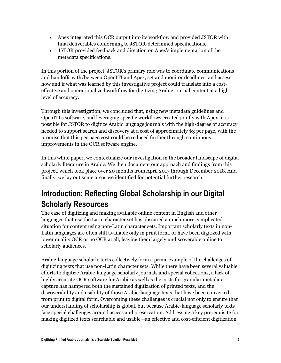- Apex integrated this OCR output into its workflow and provided JSTOR with final deliverables conforming to JSTOR-determined specifications.
- JSTOR provided feedback and direction on Apex's implementation of the metadata specifications.

In this portion of the project, JSTOR's primary role was to coordinate communications and handoffs with/between OpenITI and Apex, set and monitor deadlines, and assess how and if what was learned by this investigative project could translate into a costeffective and operationalized workflow for digitizing Arabic journal content at a high level of accuracy.

Through this investigation, we concluded that, using new metadata guidelines and OpenITI's software, and leveraging specific workflows created jointly with Apex, it is possible for JSTOR to digitize Arabic language journals with the high-degree of accuracy needed to support search and discovery at a cost of approximately \$3 per page, with the promise that this per page cost could be reduced further through continuous improvements in the OCR software engine.

In this white paper, we contextualize our investigation in the broader landscape of digital scholarly literature in Arabic. We then document our approach and findings from this project, which took place over 20 months from April 2017 through December 2018. And finally, we lay out some areas we identified for potential further research.

# **Introduction: Reflecting Global Scholarship in our Digital Scholarly Resources**

The ease of digitizing and making available online content in English and other languages that use the Latin character set has obscured a much more complicated situation for content using non-Latin character sets. Important scholarly texts in non-Latin languages are often still available only in print form, or have been digitized with lower quality OCR or no OCR at all, leaving them largely undiscoverable online to scholarly audiences.

Arabic-language scholarly texts collectively form a prime example of the challenges of digitizing texts that use non-Latin character sets. While there have been several valuable efforts to digitize Arabic-language scholarly journals and special collections, a lack of highly accurate OCR software for Arabic as well as the costs for granular metadata capture has hampered both the sustained digitization of printed texts, and the discoverability and usability of those Arabic-language texts that have been converted from print to digital form. Overcoming these challenges is crucial not only to ensure that our understanding of scholarship is global, but because Arabic-language scholarly texts face special challenges around access and preservation. Addressing a key prerequisite for making digitized texts searchable and usable—an effective and cost-efficient digitization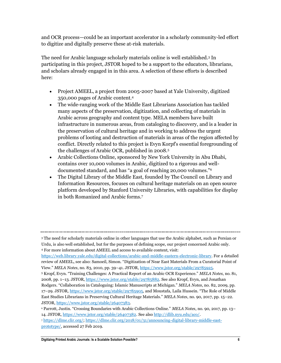and OCR process—could be an important accelerator in a scholarly community-led effort to digitize and digitally preserve these at-risk materials.

The need for Arabic language scholarly materials online is well established.<sup>3</sup> In participating in this project, JSTOR hoped to be a support to the educators, librarians, and scholars already engaged in in this area. A selection of these efforts is described here:

- Project AMEEL, a project from 2005-2007 based at Yale University, digitized 350,000 pages of Arabic content.<sup>4</sup>
- The wide-ranging work of the Middle East Librarians Association has tackled many aspects of the preservation, digitization, and collecting of materials in Arabic across geography and content type. MELA members have built infrastructure in numerous areas, from cataloging to discovery, and is a leader in the preservation of cultural heritage and in working to address the urgent problems of looting and destruction of materials in areas of the region affected by conflict. Directly related to this project is Evyn Korpf's essential foregrounding of the challenges of Arabic OCR, published in 2008.<sup>5</sup>
- Arabic Collections Online, sponsored by New York University in Abu Dhabi, contains over 10,000 volumes in Arabic, digitized to a rigorous and welldocumented standard, and has "a goal of reaching 20,000 volumes."<sup>6</sup>
- The Digital Library of the Middle East, founded by The Council on Library and Information Resources, focuses on cultural heritage materials on an open source platform developed by Stanford University Libraries, with capabilities for display in both Romanized and Arabic forms.<sup>7</sup>

<sup>3</sup> The need for scholarly materials online in other languages that use the Arabic alphabet, such as Persian or Urdu, is also well established, but for the purposes of defining scope, our project concerned Arabic only. <sup>4</sup> For more information about AMEEL and access to available content, visit:

[https://web.library.yale.edu/digital-collections/arabic-and-middle-eastern-electronic-library.](https://web.library.yale.edu/digital-collections/arabic-and-middle-eastern-electronic-library) For a detailed review of AMEEL, see also: Samoeil, Simon. "Digitization of Near East Materials From a Curatorial Point of View." *MELA Notes*, no. 83, 2010, pp. 39–41. JSTOR[, https://www.jstor.org/stable/29785925.](https://www.jstor.org/stable/29785925)

<sup>5</sup> Kropf, Evyn. "Training Challenges: A Practical Report of an Arabic OCR Experience." *MELA Notes*, no. 81, 2008, pp. 1–13. JSTOR, [https://www.jstor.org/stable/29785882.](https://www.jstor.org/stable/29785882) See also Kropf, Evyn, and Jonathan Rodgers. "Collaboration in Cataloguing: Islamic Manuscripts at Michigan." *MELA Notes*, no. 82, 2009, pp. 17–29. JSTOR, [https://www.jstor.org/stable/29785905,](https://www.jstor.org/stable/29785905) and Moustafa, Laila Hussein. "The Role of Middle East Studies Librarians in Preserving Cultural Heritage Materials." *MELA Notes*, no. 90, 2017, pp. 15–22. JSTOR, [https://www.jstor.org/stable/26407383.](https://www.jstor.org/stable/26407383)

<sup>6</sup> Parrott, Justin. "Crossing Boundaries with Arabic Collections Online." *MELA Notes*, no. 90, 2017, pp. 13– 14. JSTOR[, https://www.jstor.org/stable/26407382.](https://www.jstor.org/stable/26407382) See als[o http://dlib.nyu.edu/aco/.](http://dlib.nyu.edu/aco/)

<sup>7</sup> [https://dlme.clir.org/;](https://dlme.clir.org/) [https://dlme.clir.org/2018/01/31/announcing-digital-library-middle-east](https://dlme.clir.org/2018/01/31/announcing-digital-library-middle-east-prototype/)[prototype/,](https://dlme.clir.org/2018/01/31/announcing-digital-library-middle-east-prototype/) accessed 27 Feb 2019.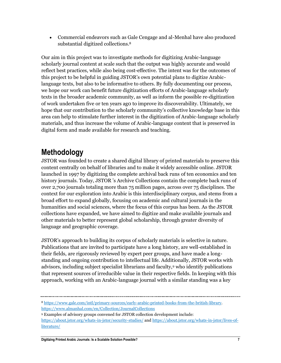• Commercial endeavors such as Gale Cengage and al-Menhal have also produced substantial digitized collections.<sup>8</sup>

Our aim in this project was to investigate methods for digitizing Arabic-language scholarly journal content at scale such that the output was highly accurate and would reflect best practices, while also being cost-effective. The intent was for the outcomes of this project to be helpful in guiding JSTOR's own potential plans to digitize Arabiclanguage texts, but also to be informative to others. By fully documenting our process, we hope our work can benefit future digitization efforts of Arabic-language scholarly texts in the broader academic community, as well as inform the possible re-digitization of work undertaken five or ten years ag0 to improve its discoverability. Ultimately, we hope that our contribution to the scholarly community's collective knowledge base in this area can help to stimulate further interest in the digitization of Arabic-language scholarly materials, and thus increase the volume of Arabic-language content that is preserved in digital form and made available for research and teaching.

### **Methodology**

JSTOR was founded to create a shared digital library of printed materials to preserve this content centrally on behalf of libraries and to make it widely accessible online. JSTOR launched in 1997 by digitizing the complete archival back runs of ten economics and ten history journals. Today, JSTOR 's Archive Collections contain the complete back runs of over 2,700 journals totaling more than 75 million pages, across over 75 disciplines. The context for our exploration into Arabic is this interdisciplinary corpus, and stems from a broad effort to expand globally, focusing on academic and cultural journals in the humanities and social sciences, where the focus of this corpus has been. As the JSTOR collections have expanded, we have aimed to digitize and make available journals and other materials to better represent global scholarship, through greater diversity of language and geographic coverage.

JSTOR's approach to building its corpus of scholarly materials is selective in nature. Publications that are invited to participate have a long history, are well-established in their fields, are rigorously reviewed by expert peer groups, and have made a longstanding and ongoing contribution to intellectual life. Additionally, JSTOR works with advisors, including subject specialist librarians and faculty,<sup>9</sup> who identify publications that represent sources of irreducible value in their respective fields. In keeping with this approach, working with an Arabic-language journal with a similar standing was a key

<sup>8</sup> [https://www.gale.com/intl/primary-sources/early-arabic-printed-books-from-the-british-library.](https://www.gale.com/intl/primary-sources/early-arabic-printed-books-from-the-british-library)

<https://www.almanhal.com/en/Collection/JournalCollections>

<sup>9</sup> Examples of advisory groups convened for JSTOR collection development include: <https://about.jstor.org/whats-in-jstor/security-studies/> and [https://about.jstor.org/whats-in-jstor/lives-of](https://about.jstor.org/whats-in-jstor/lives-of-literature/)[literature/](https://about.jstor.org/whats-in-jstor/lives-of-literature/)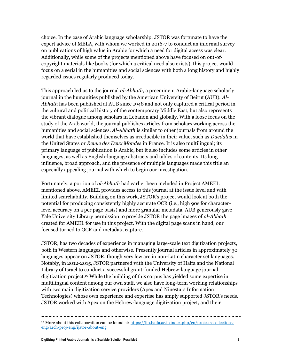choice. In the case of Arabic language scholarship, JSTOR was fortunate to have the expert advice of MELA, with whom we worked in 2016-7 to conduct an informal survey on publications of high value in Arabic for which a need for digital access was clear. Additionally, while some of the projects mentioned above have focused on out-ofcopyright materials like books (for which a critical need also exists), this project would focus on a serial in the humanities and social sciences with both a long history and highly regarded issues regularly produced today.

This approach led us to the journal *al-Abhath*, a preeminent Arabic-language scholarly journal in the humanities published by the American University of Beirut (AUB). *Al-Abhath* has been published at AUB since 1948 and not only captured a critical period in the cultural and political history of the contemporary Middle East, but also represents the vibrant dialogue among scholars in Lebanon and globally. With a loose focus on the study of the Arab world, the journal publishes articles from scholars working across the humanities and social sciences. *Al-Abhath* is similar to other journals from around the world that have established themselves as irreducible in their value, such as *Daedalus* in the United States or *Revue des Deux Mondes* in France. It is also multilingual; its primary language of publication is Arabic, but it also includes some articles in other languages, as well as English-language abstracts and tables of contents. Its long influence, broad approach, and the presence of multiple languages made this title an especially appealing journal with which to begin our investigation.

Fortunately, a portion of *al-Abhath* had earlier been included in Project AMEEL, mentioned above. AMEEL provides access to this journal at the issue level and with limited searchability. Building on this work, JSTOR's project would look at both the potential for producing consistently highly accurate OCR (i.e., high 90s for characterlevel accuracy on a per page basis) and more granular metadata. AUB generously gave Yale University Library permission to provide JSTOR the page images of *al-Abhath* created for AMEEL for use in this project. With the digital page scans in hand, our focused turned to OCR and metadata capture.

JSTOR, has two decades of experience in managing large-scale text digitization projects, both in Western languages and otherwise. Presently journal articles in approximately 30 languages appear on JSTOR, though very few are in non-Latin character set languages. Notably, in 2012-2015, JSTOR partnered with the University of Haifa and the National Library of Israel to conduct a successful grant-funded Hebrew-language journal digitization project.<sup>10</sup> While the building of this corpus has yielded some expertise in multilingual content among our own staff, we also have long-term working relationships with two main digitization service providers (Apex and Ninestars Information Technologies) whose own experience and expertise has amply supported JSTOR's needs. JSTOR worked with Apex on the Hebrew-language digitization project, and their

<sup>&</sup>lt;sup>10</sup> More about this collaboration can be found at: [https://lib.haifa.ac.il/index.php/en/projects-collections](https://lib.haifa.ac.il/index.php/en/projects-collections-eng/arch-proj-eng/ijstor-about-eng)[eng/arch-proj-eng/ijstor-about-eng](https://lib.haifa.ac.il/index.php/en/projects-collections-eng/arch-proj-eng/ijstor-about-eng)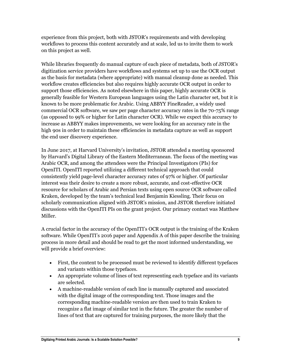experience from this project, both with JSTOR's requirements and with developing workflows to process this content accurately and at scale, led us to invite them to work on this project as well.

While libraries frequently do manual capture of each piece of metadata, both of JSTOR's digitization service providers have workflows and systems set up to use the OCR output as the basis for metadata (where appropriate) with manual cleanup done as needed. This workflow creates efficiencies but also requires highly accurate OCR output in order to support those efficiencies. As noted elsewhere in this paper, highly accurate OCR is generally feasible for Western European languages using the Latin character set, but it is known to be more problematic for Arabic. Using ABBYY FineReader, a widely used commercial OCR software, we saw per page character accuracy rates in the 70-75% range (as opposed to 99% or higher for Latin character OCR). While we expect this accuracy to increase as ABBYY makes improvements, we were looking for an accuracy rate in the high 90s in order to maintain these efficiencies in metadata capture as well as support the end user discovery experience.

In June 2017, at Harvard University's invitation, JSTOR attended a meeting sponsored by Harvard's Digital Library of the Eastern Mediterranean. The focus of the meeting was Arabic OCR, and among the attendees were the Principal Investigators (PIs) for OpenITI. OpenITI reported utilizing a different technical approach that could consistently yield page-level character accuracy rates of 97% or higher. Of particular interest was their desire to create a more robust, accurate, and cost-effective OCR resource for scholars of Arabic and Persian texts using open source OCR software called Kraken, developed by the team's technical lead Benjamin Kiessling. Their focus on scholarly communication aligned with JSTOR's mission, and JSTOR therefore initiated discussions with the OpenITI PIs on the grant project. Our primary contact was Matthew Miller.

A crucial factor in the accuracy of the OpenITI's OCR output is the training of the Kraken software. While OpenITI's 2016 paper and Appendix A of this paper describe the training process in more detail and should be read to get the most informed understanding, we will provide a brief overview:

- First, the content to be processed must be reviewed to identify different typefaces and variants within those typefaces.
- An appropriate volume of lines of text representing each typeface and its variants are selected.
- A machine-readable version of each line is manually captured and associated with the digital image of the corresponding text. Those images and the corresponding machine-readable version are then used to train Kraken to recognize a flat image of similar text in the future. The greater the number of lines of text that are captured for training purposes, the more likely that the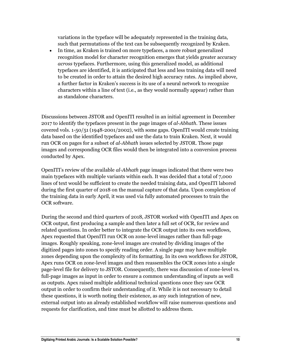variations in the typeface will be adequately represented in the training data, such that permutations of the text can be subsequently recognized by Kraken.

• In time, as Kraken is trained on more typefaces, a more robust generalized recognition model for character recognition emerges that yields greater accuracy *across* typefaces. Furthermore, using this generalized model, as additional typefaces are identified, it is anticipated that less and less training data will need to be created in order to attain the desired high accuracy rates. As implied above, a further factor in Kraken's success is its use of a neural network to recognize characters within a line of text (i.e., as they would normally appear) rather than as standalone characters.

Discussions between JSTOR and OpenITI resulted in an initial agreement in December 2017 to identify the typefaces present in the page images of *al-Abhath*. These issues covered vols. 1-50/51 (1948-2001/2002), with some gaps. OpenITI would create training data based on the identified typefaces and use the data to train Kraken. Next, it would run OCR on pages for a subset of *al-Abhath* issues selected by JSTOR. Those page images and corresponding OCR files would then be integrated into a conversion process conducted by Apex.

OpenITI's review of the available *al-Abhath* page images indicated that there were two main typefaces with multiple variants within each. It was decided that a total of 7,000 lines of text would be sufficient to create the needed training data, and OpenITI labored during the first quarter of 2018 on the manual capture of that data. Upon completion of the training data in early April, it was used via fully automated processes to train the OCR software.

During the second and third quarters of 2018, JSTOR worked with OpenITI and Apex on OCR output, first producing a sample and then later a full set of OCR, for review and related questions. In order better to integrate the OCR output into its own workflows, Apex requested that OpenITI run OCR on zone-level images rather than full-page images. Roughly speaking, zone-level images are created by dividing images of the digitized pages into zones to specify reading order. A single page may have multiple zones depending upon the complexity of its formatting. In its own workflows for JSTOR, Apex runs OCR on zone-level images and then reassembles the OCR zones into a single page-level file for delivery to JSTOR. Consequently, there was discussion of zone-level vs. full-page images as input in order to ensure a common understanding of inputs as well as outputs. Apex raised multiple additional technical questions once they saw OCR output in order to confirm their understanding of it. While it is not necessary to detail these questions, it is worth noting their existence, as any such integration of new, external output into an already established workflow will raise numerous questions and requests for clarification, and time must be allotted to address them.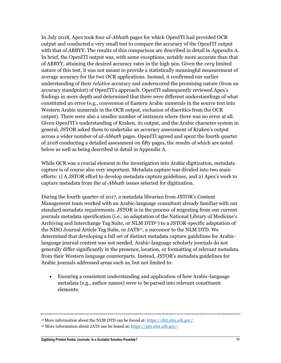In July 2018, Apex took four *al-Abhath* pages for which OpenITI had provided OCR output and conducted a very small test to compare the accuracy of the OpenITI output with that of ABBYY. The results of this comparison are described in detail in Appendix A. In brief, the OpenITI output was, with some exceptions, notably more accurate than that of ABBYY, attaining the desired accuracy rates in the high 90s. Given the *very* limited nature of this test, it was not meant to provide a statistically meaningful measurement of average accuracy for the two OCR applications. Instead, it confirmed our earlier understanding of their *relative* accuracy and underscored the promising nature (from an accuracy standpoint) of OpenITI's approach. OpenITI subsequently reviewed Apex's findings in more depth and determined that there were different understandings of what constituted an error (e.g., conversion of Eastern Arabic numerals in the source text into Western Arabic numerals in the OCR output, exclusion of diacritics from the OCR output). There were also a smaller number of instances where there was no error at all. Given OpenITI's understanding of Kraken, its output, and the Arabic character system in general, JSTOR asked them to undertake an accuracy assessment of Kraken's output across a wider number of *al-Abhath* pages. OpenITI agreed and spent the fourth quarter of 2018 conducting a detailed assessment on fifty pages, the results of which are noted below as well as being described in detail in Appendix A.

While OCR was a crucial element in the investigation into Arabic digitization, metadata capture is of course also very important. Metadata capture was divided into two main efforts: 1) A JSTOR effort to develop metadata capture guidelines, and 2) Apex's work to capture metadata from the *al-Abhath* issues selected for digitization.

During the fourth quarter of 2017, a metadata librarian from JSTOR's Content Management team worked with an Arabic-language consultant already familiar with our standard metadata requirements. JSTOR is in the process of migrating from our current journals metadata specification (i.e., an adaptation of the National Library of Medicine's Archiving and Interchange Tag Suite, or NLM DTD<sup>11</sup>) to a JSTOR-specific adaptation of the NISO Journal Article Tag Suite, or JATS<sup>12</sup>, a successor to the NLM DTD. We determined that developing a full set of distinct metadata capture guidelines for Arabiclanguage journal content was not needed. Arabic-language scholarly journals do not generally differ significantly in the presence, location, or formatting of relevant metadata from their Western language counterparts. Instead, JSTOR's metadata guidelines for Arabic journals addressed areas such as, but not limited to:

• Ensuring a consistent understanding and application of how Arabic-language metadata (e.g., author names) were to be parsed into relevant constituent elements.

<sup>&</sup>lt;sup>11</sup> More information about the NLM DTD can be found at:  $\frac{htps://dtd,nlm,nih.gov/$ .

<sup>&</sup>lt;sup>12</sup> More information about JATS can be found at: [https://jats.nlm.nih.gov/.](https://jats.nlm.nih.gov/)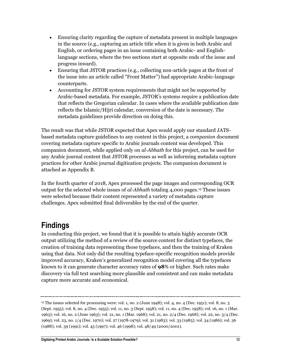- Ensuring clarity regarding the capture of metadata present in multiple languages in the source (e.g., capturing an article title when it is given in both Arabic and English, or ordering pages in an issue containing both Arabic- and Englishlanguage sections, where the two sections start at opposite ends of the issue and progress inward).
- Ensuring that JSTOR practices (e.g., collecting non-article pages at the front of the issue into an article called "Front Matter") had appropriate Arabic-language counterparts.
- Accounting for JSTOR system requirements that might not be supported by Arabic-based metadata. For example, JSTOR's systems require a publication date that reflects the Gregorian calendar. In cases where the available publication date reflects the Islamic/Hijri calendar, conversion of the date is necessary. The metadata guidelines provide direction on doing this.

The result was that while JSTOR expected that Apex would apply our standard JATSbased metadata capture guidelines to any content in this project, a *companion* document covering metadata capture specific to Arabic journals content was developed. This companion document, while applied only on *al-Abhath* for this project, can be used for any Arabic journal content that JSTOR processes as well as informing metadata capture practices for other Arabic journal digitization projects. The companion document is attached as Appendix B.

In the fourth quarter of 2018, Apex processed the page images and corresponding OCR output for the selected whole issues of *al-Abhath* totaling 4,000 pages.<sup>13</sup> These issues were selected because their content represented a variety of metadata capture challenges. Apex submitted final deliverables by the end of the quarter.

### **Findings**

In conducting this project, we found that it is possible to attain highly accurate OCR output utilizing the method of a review of the source content for distinct typefaces, the creation of training data representing those typefaces, and then the training of Kraken using that data. Not only did the resulting typeface-specific recognition models provide improved accuracy, Kraken's generalized recognition model covering all the typefaces known to it can generate character accuracy rates of **98**% or higher. Such rates make discovery via full text searching more plausible and consistent and can make metadata capture more accurate and economical.

<sup>13</sup> The issues selected for processing were: vol. 1, no. 2 (June 1948); vol. 4, no. 4 (Dec. 1951); vol. 8, no. 3 (Sept. 1955); vol. 8, no. 4 (Dec. 1955); vol. 11, no. 3 (Sept. 1958); vol. 11, no. 4 (Dec. 1958); vol. 16, no. 1 (Mar. 1963); vol. 16, no. 2 (June 1963); vol. 21, no. 1 (Mar. 1968); vol. 21, no. 2/4 (Dec. 1968); vol. 22, no. 3/4 (Dec. 1969); vol. 23, no. 1/4 (Dec. 1970); vol. 27 (1978-1979); vol. 31 (1983); vol. 33 (1985); vol. 34 (1986); vol. 36 (1988); vol. 39 (1991); vol. 45 (1997); vol. 46 (1998); vol. 48/49 (2000/2001).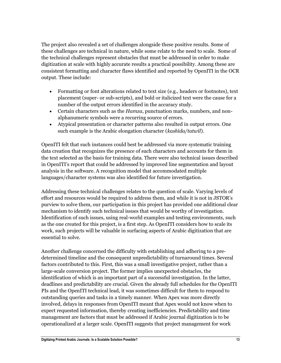The project also revealed a set of challenges alongside these positive results. Some of these challenges are technical in nature, while some relate to the need to scale. Some of the technical challenges represent obstacles that must be addressed in order to make digitization at scale with highly accurate results a practical possibility. Among these are consistent formatting and character flaws identified and reported by OpenITI in the OCR output. These include:

- Formatting or font alterations related to text size (e.g., headers or footnotes), text placement (super- or sub-scripts), and bold or italicized text were the cause for a number of the output errors identified in the accuracy study.
- Certain characters such as the *Hamza*, punctuation marks, numbers, and nonalphanumeric symbols were a recurring source of errors.
- Atypical presentation or character patterns also resulted in output errors. One such example is the Arabic elongation character (*kashīda/tatwīl*).

OpenITI felt that such instances could best be addressed via more systematic training data creation that recognizes the presence of such characters and accounts for them in the text selected as the basis for training data. There were also technical issues described in OpenITI's report that could be addressed by improved line segmentation and layout analysis in the software. A recognition model that accommodated multiple languages/character systems was also identified for future investigation.

Addressing these technical challenges relates to the question of scale. Varying levels of effort and resources would be required to address them, and while it is not in JSTOR's purview to solve them, our participation in this project has provided one additional clear mechanism to identify such technical issues that would be worthy of investigation. Identification of such issues, using real-world examples and testing environments, such as the one created for this project, is a first step. As OpenITI considers how to scale its work, such projects will be valuable in surfacing aspects of Arabic digitization that are essential to solve.

Another challenge concerned the difficulty with establishing and adhering to a predetermined timeline and the consequent unpredictability of turnaround times. Several factors contributed to this. First, this was a small investigative project, rather than a large-scale conversion project. The former implies unexpected obstacles, the identification of which is an important part of a successful investigation. In the latter, deadlines and predictability are crucial. Given the already full schedules for the OpenITI PIs and the OpenITI technical lead, it was sometimes difficult for them to respond to outstanding queries and tasks in a timely manner. When Apex was more directly involved, delays in responses from OpenITI meant that Apex would not know when to expect requested information, thereby creating inefficiencies. Predictability and time management are factors that must be addressed if Arabic journal digitization is to be operationalized at a larger scale. OpenITI suggests that project management for work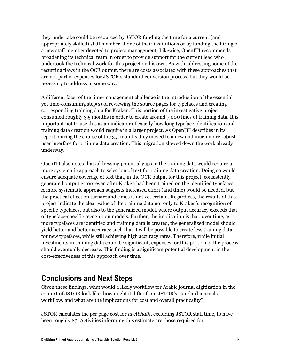they undertake could be resourced by JSTOR funding the time for a current (and appropriately skilled) staff member at one of their institutions or by funding the hiring of a new staff member devoted to project management. Likewise, OpenITI recommends broadening its technical team in order to provide support for the current lead who undertook the technical work for this project on his own. As with addressing some of the recurring flaws in the OCR output, there are costs associated with these approaches that are not part of expenses for JSTOR's standard conversion process, but they would be necessary to address in some way.

A different facet of the time-management challenge is the introduction of the essential yet time-consuming step(s) of reviewing the source pages for typefaces and creating corresponding training data for Kraken. This portion of the investigative project consumed roughly 3.5 months in order to create around 7,000 lines of training data. It is important not to use this as an indicator of exactly how long typeface identification and training data creation would require in a larger project. As OpenITI describes in its report, during the course of the 3.5 months they moved to a new and much more robust user interface for training data creation. This migration slowed down the work already underway.

OpenITI also notes that addressing potential gaps in the training data would require a more systematic approach to selection of text for training data creation. Doing so would ensure adequate coverage of text that, in the OCR output for this project, consistently generated output errors even after Kraken had been trained on the identified typefaces. A more systematic approach suggests increased effort (and time) would be needed, but the practical effect on turnaround times is not yet certain. Regardless, the results of this project indicate the clear value of the training data not only to Kraken's recognition of specific typefaces, but also to the generalized model, where output accuracy exceeds that of typeface-specific recognition models. Further, the implication is that, over time, as more typefaces are identified and training data is created, the generalized model should yield better and better accuracy such that it will be possible to create less training data for new typefaces, while still achieving high accuracy rates. Therefore, while initial investments in training data could be significant, expenses for this portion of the process should eventually decrease. This finding is a significant potential development in the cost-effectiveness of this approach over time.

#### **Conclusions and Next Steps**

Given these findings, what would a likely workflow for Arabic journal digitization in the context of JSTOR look like, how might it differ from JSTOR's standard journals workflow, and what are the implications for cost and overall practicality?

JSTOR calculates the per page cost for *al-Abhath*, excluding JSTOR staff time, to have been roughly \$3. Activities informing this estimate are those required for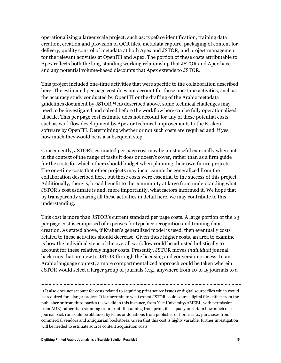operationalizing a larger scale project, such as: typeface identification, training data creation, creation and provision of OCR files, metadata capture, packaging of content for delivery, quality control of metadata at both Apex and JSTOR, and project management for the relevant activities at OpenITI and Apex. The portion of these costs attributable to Apex reflects both the long-standing working relationship that JSTOR and Apex have and any potential volume-based discounts that Apex extends to JSTOR.

This project included one-time activities that were specific to the collaboration described here. The estimated per page cost does not account for these one-time activities, such as the accuracy study conducted by OpenITI or the drafting of the Arabic metadata guidelines document by JSTOR.<sup>14</sup> As described above, some technical challenges may need to be investigated and solved before the workflow here can be fully operationalized at scale. This per page cost estimate does not account for any of these potential costs, such as workflow development by Apex or technical improvements to the Kraken software by OpenITI. Determining whether or not such costs are required and, if yes, how much they would be is a subsequent step.

Consequently, JSTOR's estimated per page cost may be most useful externally when put in the context of the range of tasks it does or doesn't cover, rather than as a firm guide for the costs for which others should budget when planning their own future projects. The one-time costs that other projects may incur cannot be generalized from the collaboration described here, but those costs were essential to the success of this project. Additionally, there is, broad benefit to the community at large from understanding what JSTOR's cost estimate is and, more importantly, what factors informed it. We hope that by transparently sharing all these activities in detail here, we may contribute to this understanding.

This cost is more than JSTOR's current standard per page costs. A large portion of the \$3 per page cost is comprised of expenses for typeface recognition and training data creation. As stated above, if Kraken's generalized model is used, then eventually costs related to these activities should decrease. Given these higher costs, an area to examine is how the individual steps of the overall workflow could be adjusted holistically to account for these relatively higher costs. Presently, JSTOR moves *individual* journal back runs that are new to JSTOR through the licensing and conversion process. In an Arabic language context, a more compartmentalized approach could be taken wherein JSTOR would select a larger group of journals (e.g., anywhere from 10 to 15 journals to a

<sup>14</sup> It also does not account for costs related to acquiring print source issues or digital source files which would be required for a larger project. It is uncertain to what extent JSTOR could source digital files either from the publisher or from third parties (as we did in this instance, from Yale University/AMEEL, with permission from AUB) rather than scanning from print. If scanning from print, it is equally uncertain how much of a journal back run could be obtained by loans or donations from publisher or libraries vs. purchases from commercial vendors and antiquarian bookstores. Given that this cost is highly variable, further investigation will be needed to estimate source content acquisition costs.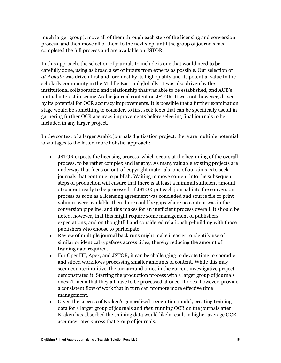much larger group), move all of them through each step of the licensing and conversion process, and then move all of them to the next step, until the group of journals has completed the full process and are available on JSTOR.

In this approach, the selection of journals to include is one that would need to be carefully done, using as broad a set of inputs from experts as possible. Our selection of *al-Abhath* was driven first and foremost by its high quality and its potential value to the scholarly community in the Middle East and globally. It was also driven by the institutional collaboration and relationship that was able to be established, and AUB's mutual interest in seeing Arabic journal content on JSTOR. It was not, however, driven by its potential for OCR accuracy improvements. It is possible that a further examination stage would be something to consider, to first seek texts that can be specifically useful in garnering further OCR accuracy improvements before selecting final journals to be included in any larger project.

In the context of a larger Arabic journals digitization project, there are multiple potential advantages to the latter, more holistic, approach:

- JSTOR expects the licensing process, which occurs at the beginning of the overall process, to be rather complex and lengthy. As many valuable existing projects are underway that focus on out-of-copyright materials, one of our aims is to seek journals that continue to publish. Waiting to move content into the subsequent steps of production will ensure that there is at least a minimal sufficient amount of content ready to be processed. If JSTOR put each journal into the conversion process as soon as a licensing agreement was concluded and source file or print volumes were available, then there could be gaps where no content was in the conversion pipeline, and this makes for an inefficient process overall. It should be noted, however, that this might require some management of publishers' expectations, and on thoughtful and considered relationship-building with those publishers who choose to participate.
- Review of multiple journal back runs might make it easier to identify use of similar or identical typefaces across titles, thereby reducing the amount of training data required.
- For OpenITI, Apex, and JSTOR, it can be challenging to devote time to sporadic and siloed workflows processing smaller amounts of content. While this may seem counterintuitive, the turnaround times in the current investigative project demonstrated it. Starting the production process with a larger group of journals doesn't mean that they all have to be processed at once. It does, however, provide a consistent flow of work that in turn can promote more effective time management.
- Given the success of Kraken's generalized recognition model, creating training data for a larger group of journals and *then* running OCR on the journals after Kraken has absorbed the training data would likely result in higher average OCR accuracy rates *across* that group of journals.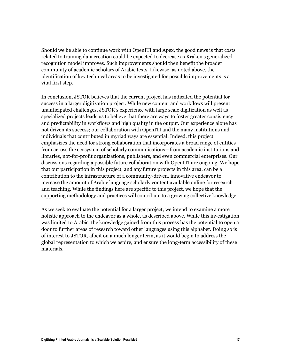Should we be able to continue work with OpenITI and Apex, the good news is that costs related to training data creation could be expected to decrease as Kraken's generalized recognition model improves. Such improvements should then benefit the broader community of academic scholars of Arabic texts. Likewise, as noted above, the identification of key technical areas to be investigated for possible improvements is a vital first step.

In conclusion, JSTOR believes that the current project has indicated the potential for success in a larger digitization project. While new content and workflows will present unanticipated challenges, JSTOR's experience with large scale digitization as well as specialized projects leads us to believe that there are ways to foster greater consistency and predictability in workflows and high quality in the output. Our experience alone has not driven its success; our collaboration with OpenITI and the many institutions and individuals that contributed in myriad ways are essential. Indeed, this project emphasizes the need for strong collaboration that incorporates a broad range of entities from across the ecosystem of scholarly communications—from academic institutions and libraries, not-for-profit organizations, publishers, and even commercial enterprises. Our discussions regarding a possible future collaboration with OpenITI are ongoing. We hope that our participation in this project, and any future projects in this area, can be a contribution to the infrastructure of a community-driven, innovative endeavor to increase the amount of Arabic language scholarly content available online for research and teaching. While the findings here are specific to this project, we hope that the supporting methodology and practices will contribute to a growing collective knowledge.

As we seek to evaluate the potential for a larger project, we intend to examine a more holistic approach to the endeavor as a whole, as described above. While this investigation was limited to Arabic, the knowledge gained from this process has the potential to open a door to further areas of research toward other languages using this alphabet. Doing so is of interest to JSTOR, albeit on a much longer term, as it would begin to address the global representation to which we aspire, and ensure the long-term accessibility of these materials.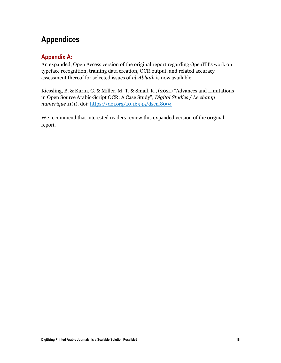### **Appendices**

#### **Appendix A:**

An expanded, Open Access version of the original report regarding OpenITI's work on typeface recognition, training data creation, OCR output, and related accuracy assessment thereof for selected issues of *al-Abhath* is now available.

Kiessling, B. & Kurin, G. & Miller, M. T. & Smail, K., (2021) "Advances and Limitations in Open Source Arabic-Script OCR: A Case Study", *Digital Studies / Le champ numérique* 11(1). doi:<https://doi.org/10.16995/dscn.8094>

We recommend that interested readers review this expanded version of the original report.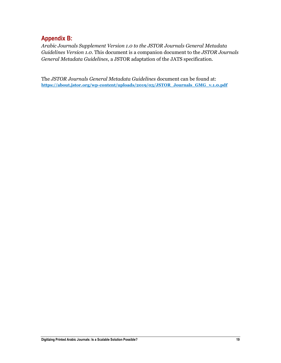#### **Appendix B:**

*Arabic Journals Supplement Version 1.0 to the JSTOR Journals General Metadata Guidelines Version 1.0*. This document is a companion document to the *JSTOR Journals General Metadata Guidelines*, a JSTOR adaptation of the JATS specification.

The *JSTOR Journals General Metadata Guidelines* document can be found at: **[https://about.jstor.org/wp-content/uploads/2019/03/JSTOR\\_Journals\\_GMG\\_v.1.0.pdf](https://about.jstor.org/wp-content/uploads/2019/03/JSTOR_Journals_GMG_v.1.0.pdf)**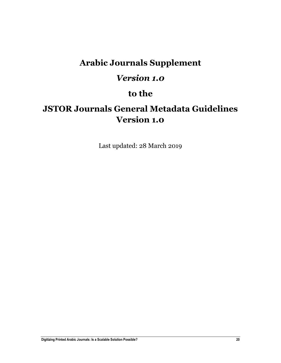# **Arabic Journals Supplement**

## *Version 1.0*

### **to the**

# **JSTOR Journals General Metadata Guidelines Version 1.0**

Last updated: 28 March 2019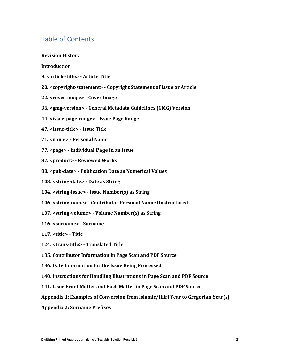#### Table of Contents

#### **[Revision History](#page-23-0)**

#### **[Introduction](#page-25-0)**

- **[9. <article-title> -](#page-27-0) Article Titl[e](#page-27-0)**
- **20. <copyright-statement> - [Copyright Statement of Issue or Article](#page-28-0)**
- **[22. <cover-image> -](#page-29-0) Cover Imag[e](#page-29-0)**
- **36. <gmg-version> - [General Metadata Guidelines \(GMG\) Version](#page-30-0)**
- **[44. <issue-page-range> -](#page-31-0) Issue Page Rang[e](#page-31-0)**
- **[47. <issue-title> -](#page-34-0) Issue Titl[e](#page-34-0)**
- **71. <name> - [Personal Name](#page-35-0)**
- **[77. <page> -](#page-36-0) Individual Page in an Issu[e](#page-36-0)**
- **87. <product> - [Reviewed Works](#page-38-0)**
- **88. <pub-date> - [Publication Date as Numerical Values](#page-40-0)**
- **[103. <string-date> -](#page-43-0) Date as Strin[g](#page-43-0)**
- **104. <string-issue> - [Issue Number\(s\) as String](#page-45-0)**
- **106. <string-name> - [Contributor Personal Name: Unstructured](#page-47-0)**
- **107. <string-volume> - [Volume Number\(s\) as String](#page-49-0)**
- **[116. <surname> -](#page-51-0) Surnam[e](#page-51-0)**
- **[117. <title> -](#page-56-0) Titl[e](#page-56-0)**
- **[124. <trans-title> -](#page-59-0) Translated Titl[e](#page-59-0)**
- **[135. Contributor Information in Page Scan and PDF Source](#page-60-0)**
- **[136. Date Information for the Issue Being Processed](#page-62-0)**
- **[140. Instructions for Handling Illustrations in Page Scan and PDF Source](#page-63-0)**
- **[141. Issue Front Matter and Back Matter in Page Scan and PDF Source](#page-64-0)**
- **[Appendix 1: Examples of Conversion from Islamic/Hijri Year to Gregorian Year\(s\)](#page-66-0)**
- **[Appendix 2: Surname Prefixes](#page-68-0)**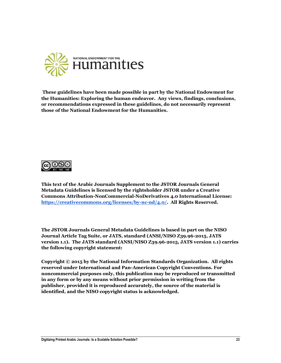<span id="page-23-0"></span>

**These guidelines have been made possible in part by the National Endowment for the Humanities: Exploring the human endeavor. Any views, findings, conclusions, or recommendations expressed in these guidelines, do not necessarily represent those of the National Endowment for the Humanities.**



**This text of the Arabic Journals Supplement to the JSTOR Journals General Metadata Guidelines is licensed by the rightsholder JSTOR under a Creative Commons Attribution-NonCommercial-NoDerivatives 4.0 International License[:](https://creativecommons.org/licenses/by-nc-nd/4.0/) [https://creativecommons.org/licenses/by-nc-nd/4.0/.](https://creativecommons.org/licenses/by-nc-nd/4.0/) All Rights Reserved.**

**The JSTOR Journals General Metadata Guidelines is based in part on the NISO Journal Article Tag Suite, or JATS, standard (ANSI/NISO Z39.96-2015, JATS version 1.1). The JATS standard (ANSI/NISO Z39.96-2015, JATS version 1.1) carries the following copyright statement:**

**Copyright © 2015 by the National Information Standards Organization. All rights reserved under International and Pan-American Copyright Conventions. For noncommercial purposes only, this publication may be reproduced or transmitted in any form or by any means without prior permission in writing from the publisher, provided it is reproduced accurately, the source of the material is identified, and the NISO copyright status is acknowledged.**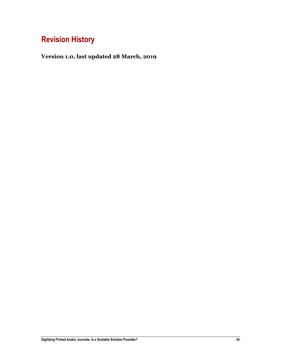# **Revision History**

**Version 1.0, last updated 28 March, 2019**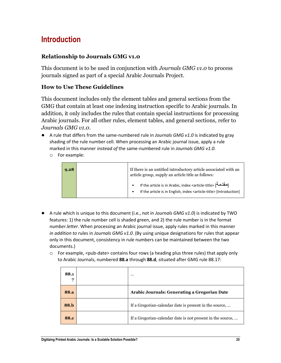### <span id="page-25-0"></span>**Introduction**

#### **Relationship to Journals GMG v1.0**

This document is to be used in conjunction with *Journals GMG v1.0* to process journals signed as part of a special Arabic Journals Project.

#### **How to Use These Guidelines**

This document includes only the element tables and general sections from the GMG that contain at least one indexing instruction specific to Arabic journals. In addition, it only includes the rules that contain special instructions for processing Arabic journals. For all other rules, element tables, and general sections, refer to *Journals GMG v1.0*.

- A rule that differs from the same-numbered rule in *Journals GMG v1.0* is indicated by gray shading of the rule number cell. When processing an Arabic journal issue, apply a rule marked in this manner *instead of* the same-numbered rule in *Journals GMG v1.0*.
	- o For example:

| 9.28 | If there is an untitled introductory article associated with an<br>article group, supply an article title as follows:                                                                                        |
|------|--------------------------------------------------------------------------------------------------------------------------------------------------------------------------------------------------------------|
|      | If the article is in Arabic, index <article-title> [آمقدمة]<br/><math display="inline">\bullet</math><br/>If the article is in English, index <article-title> [Introduction]</article-title></article-title> |

- A rule which is unique to this document (i.e., not in *Journals GMG v1.0*) is indicated by TWO features: 1) the rule number cell is shaded green, and 2) the rule number is in the format *number*.*letter*. When processing an Arabic journal issue, apply rules marked in this manner *in addition to* rules in *Journals GMG v1.0*. (By using unique designations for rules that appear only in this document, consistency in rule numbers can be maintained between the two documents.)
	- $\circ$  For example, <pub-date> contains four rows (a heading plus three rules) that apply only to Arabic Journals, numbered **88.a** through **88.d**, situated after GMG rule 88.17:

| 88.1<br>- | $\cdots$                                                   |
|-----------|------------------------------------------------------------|
| 88.a      | Arabic Journals: Generating a Gregorian Date               |
| 88.b      | If a Gregorian-calendar date is present in the source,     |
| 88.c      | If a Gregorian-calendar date is not present in the source, |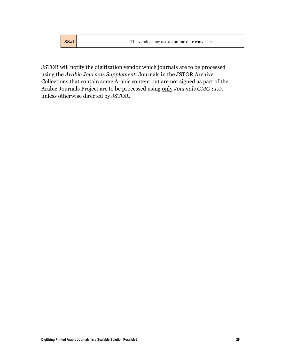| The vendor may use an online date converter<br>88.d |
|-----------------------------------------------------|
|-----------------------------------------------------|

JSTOR will notify the digitization vendor which journals are to be processed using the *Arabic Journals Supplement*. Journals in the JSTOR Archive Collections that contain some Arabic content but are not signed as part of the Arabic Journals Project are to be processed using only *Journals GMG v1.0*, unless otherwise directed by JSTOR.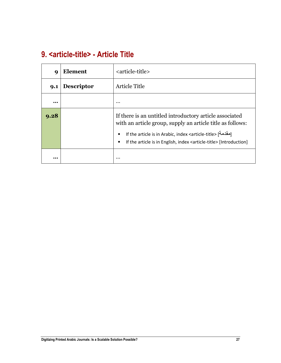### <span id="page-27-0"></span>**9. <article-title> - Article Title**

| q                       | <b>Element</b>    | <article-title></article-title>                                                                                                                                    |
|-------------------------|-------------------|--------------------------------------------------------------------------------------------------------------------------------------------------------------------|
| 9.1                     | <b>Descriptor</b> | <b>Article Title</b>                                                                                                                                               |
| $\bullet\bullet\bullet$ |                   | $\cdots$                                                                                                                                                           |
| 9.28                    |                   | If there is an untitled introductory article associated<br>with an article group, supply an article title as follows:                                              |
|                         |                   | If the article is in Arabic, index <article-title> [آمقدمة]<br/>If the article is in English, index <article-title> [Introduction]</article-title></article-title> |
| $\ddotsc$               |                   | $\ddotsc$                                                                                                                                                          |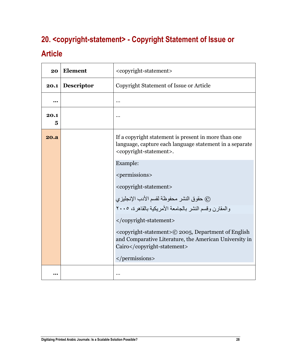# <span id="page-28-0"></span>**20. <copyright-statement> - Copyright Statement of Issue or Article**

| 20          | Element           | <copyright-statement></copyright-statement>                                                                                                                     |
|-------------|-------------------|-----------------------------------------------------------------------------------------------------------------------------------------------------------------|
| 20.1        | <b>Descriptor</b> | Copyright Statement of Issue or Article                                                                                                                         |
|             |                   | $\ddotsc$                                                                                                                                                       |
| 20.1<br>5   |                   | $\ddotsc$                                                                                                                                                       |
| <b>20.a</b> |                   | If a copyright statement is present in more than one<br>language, capture each language statement in a separate<br><copyright-statement>.</copyright-statement> |
|             |                   | Example:                                                                                                                                                        |
|             |                   | <permissions><br/><copyright-statement></copyright-statement></permissions>                                                                                     |
|             |                   | @ حقوق النشر محفوظة لقسم الأدب الإنجليزي                                                                                                                        |
|             |                   | والمقارن وقسم النشر بالجامعة الأمريكية بالقاهرة، ٢٠٠٥                                                                                                           |
|             |                   |                                                                                                                                                                 |
|             |                   | <copyright-statement>© 2005, Department of English<br/>and Comparative Literature, the American University in<br/>Cairo</copyright-statement>                   |
|             |                   |                                                                                                                                                                 |
|             |                   |                                                                                                                                                                 |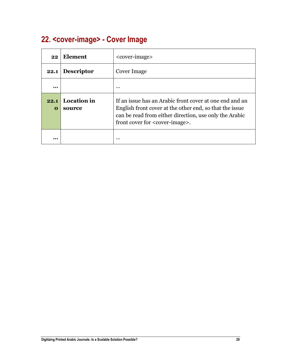# <span id="page-29-0"></span>**22. <cover-image> - Cover Image**

| 22               | Element               | <cover-image></cover-image>                                                                                                                                                                                                  |
|------------------|-----------------------|------------------------------------------------------------------------------------------------------------------------------------------------------------------------------------------------------------------------------|
| 22.1             | <b>Descriptor</b>     | Cover Image                                                                                                                                                                                                                  |
|                  |                       | $\ddotsc$                                                                                                                                                                                                                    |
| 22.1<br>$\Omega$ | Location in<br>source | If an issue has an Arabic front cover at one end and an<br>English front cover at the other end, so that the issue<br>can be read from either direction, use only the Arabic<br>front cover for <cover-image>.</cover-image> |
| $\cdots$         |                       | $\cdots$                                                                                                                                                                                                                     |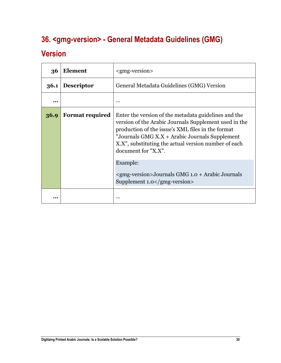# <span id="page-30-0"></span>**36. <gmg-version> - General Metadata Guidelines (GMG)**

### **Version**

| 36                      | <b>Element</b>         | $\langle$ gmg-version $\rangle$                                                                                                                                                                                                                                                                                 |
|-------------------------|------------------------|-----------------------------------------------------------------------------------------------------------------------------------------------------------------------------------------------------------------------------------------------------------------------------------------------------------------|
| 36.1                    | <b>Descriptor</b>      | General Metadata Guidelines (GMG) Version                                                                                                                                                                                                                                                                       |
| $\bullet\bullet\bullet$ |                        | $\ddotsc$                                                                                                                                                                                                                                                                                                       |
| 36.9                    | <b>Format required</b> | Enter the version of the metadata guidelines and the<br>version of the Arabic Journals Supplement used in the<br>production of the issue's XML files in the format<br>"Journals GMG X.X + Arabic Journals Supplement<br>X.X", substituting the actual version number of each<br>document for "X.X".<br>Example: |
|                         |                        | <gmg-version>Journals GMG 1.0 + Arabic Journals<br/>Supplement 1.0</gmg-version>                                                                                                                                                                                                                                |
|                         |                        | $\bullet$ $\bullet$ $\bullet$                                                                                                                                                                                                                                                                                   |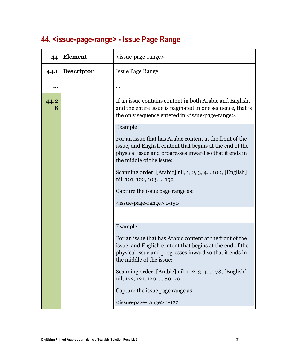# <span id="page-31-0"></span>**44. <issue-page-range> - Issue Page Range**

| 44        | <b>Element</b>    | <issue-page-range></issue-page-range>                                                                                                                                                                                                                                                                                                                                                                 |
|-----------|-------------------|-------------------------------------------------------------------------------------------------------------------------------------------------------------------------------------------------------------------------------------------------------------------------------------------------------------------------------------------------------------------------------------------------------|
| 44.1      | <b>Descriptor</b> | <b>Issue Page Range</b>                                                                                                                                                                                                                                                                                                                                                                               |
| $\cdots$  |                   |                                                                                                                                                                                                                                                                                                                                                                                                       |
| 44.2<br>8 |                   | If an issue contains content in both Arabic and English,<br>and the entire issue is paginated in one sequence, that is<br>the only sequence entered in <issue-page-range>.</issue-page-range>                                                                                                                                                                                                         |
|           |                   | Example:<br>For an issue that has Arabic content at the front of the<br>issue, and English content that begins at the end of the<br>physical issue and progresses inward so that it ends in<br>the middle of the issue:<br>Scanning order: [Arabic] nil, 1, 2, 3, 4 100, [English]<br>nil, 101, 102, 103,  150<br>Capture the issue page range as:<br><issue-page-range> 1-150</issue-page-range>     |
|           |                   | Example:<br>For an issue that has Arabic content at the front of the<br>issue, and English content that begins at the end of the<br>physical issue and progresses inward so that it ends in<br>the middle of the issue:<br>Scanning order: [Arabic] nil, 1, 2, 3, 4,  78, [English]<br>nil, 122, 121, 120,  80, 79<br>Capture the issue page range as:<br><issue-page-range> 1-122</issue-page-range> |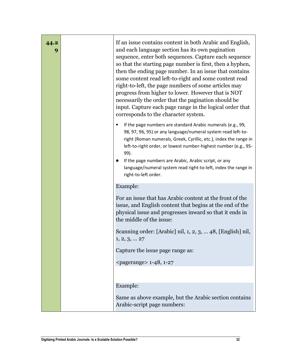| 44.2<br>9 | If an issue contains content in both Arabic and English,<br>and each language section has its own pagination<br>sequence, enter both sequences. Capture each sequence<br>so that the starting page number is first, then a hyphen,<br>then the ending page number. In an issue that contains<br>some content read left-to-right and some content read<br>right-to-left, the page numbers of some articles may<br>progress from higher to lower. However that is NOT<br>necessarily the order that the pagination should be<br>input. Capture each page range in the logical order that<br>corresponds to the character system. |
|-----------|--------------------------------------------------------------------------------------------------------------------------------------------------------------------------------------------------------------------------------------------------------------------------------------------------------------------------------------------------------------------------------------------------------------------------------------------------------------------------------------------------------------------------------------------------------------------------------------------------------------------------------|
|           | If the page numbers are standard Arabic numerals (e.g., 99,<br>٠<br>98, 97, 96, 95) or any language/numeral system read left-to-<br>right (Roman numerals, Greek, Cyrillic, etc.), index the range in<br>left-to-right order, or lowest number-highest number (e.g., 95-<br>99).<br>If the page numbers are Arabic, Arabic script, or any<br>language/numeral system read right-to-left, index the range in<br>right-to-left order.                                                                                                                                                                                            |
|           | Example:                                                                                                                                                                                                                                                                                                                                                                                                                                                                                                                                                                                                                       |
|           | For an issue that has Arabic content at the front of the<br>issue, and English content that begins at the end of the<br>physical issue and progresses inward so that it ends in<br>the middle of the issue:                                                                                                                                                                                                                                                                                                                                                                                                                    |
|           | Scanning order: [Arabic] nil, 1, 2, 3,  48, [English] nil,<br>$1, 2, 3, \ldots 27$                                                                                                                                                                                                                                                                                                                                                                                                                                                                                                                                             |
|           | Capture the issue page range as:                                                                                                                                                                                                                                                                                                                                                                                                                                                                                                                                                                                               |
|           | <pagerange> 1-48, 1-27</pagerange>                                                                                                                                                                                                                                                                                                                                                                                                                                                                                                                                                                                             |
|           |                                                                                                                                                                                                                                                                                                                                                                                                                                                                                                                                                                                                                                |
|           | Example:                                                                                                                                                                                                                                                                                                                                                                                                                                                                                                                                                                                                                       |
|           | Same as above example, but the Arabic section contains<br>Arabic-script page numbers:                                                                                                                                                                                                                                                                                                                                                                                                                                                                                                                                          |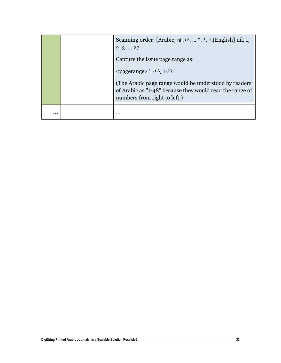|           | Scanning order: [Arabic] $\frac{\pi}{2}$ , $\frac{\pi}{2}$ , $\frac{\pi}{2}$ , $\frac{\pi}{2}$ , $\frac{\pi}{2}$ , $\frac{\pi}{2}$ , $\frac{\pi}{2}$ , $\frac{\pi}{2}$ , $\frac{\pi}{2}$ , $\frac{\pi}{2}$<br>$2, 3, \ldots 27$<br>Capture the issue page range as:<br><pagerange> <math>\lambda</math> - <math>\lambda</math>, 1-27<br/>(The Arabic page range would be understood by readers)<br/>of Arabic as "1-48" because they would read the range of<br/>numbers from right to left.)</pagerange> |
|-----------|-----------------------------------------------------------------------------------------------------------------------------------------------------------------------------------------------------------------------------------------------------------------------------------------------------------------------------------------------------------------------------------------------------------------------------------------------------------------------------------------------------------|
| $\ddotsc$ | $\cdots$                                                                                                                                                                                                                                                                                                                                                                                                                                                                                                  |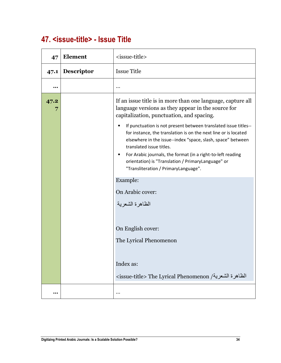#### <span id="page-34-0"></span>**47. <issue-title> - Issue Title**

| 47        | <b>Element</b>    | <issue-title></issue-title>                                                                                                                                                                                                                                                                                                                                                                |
|-----------|-------------------|--------------------------------------------------------------------------------------------------------------------------------------------------------------------------------------------------------------------------------------------------------------------------------------------------------------------------------------------------------------------------------------------|
| 47.1      | <b>Descriptor</b> | <b>Issue Title</b>                                                                                                                                                                                                                                                                                                                                                                         |
| $\cdots$  |                   | $\ddotsc$                                                                                                                                                                                                                                                                                                                                                                                  |
| 47.2<br>7 |                   | If an issue title is in more than one language, capture all<br>language versions as they appear in the source for<br>capitalization, punctuation, and spacing.                                                                                                                                                                                                                             |
|           |                   | If punctuation is not present between translated issue titles--<br>for instance, the translation is on the next line or is located<br>elsewhere in the issue--index "space, slash, space" between<br>translated issue titles.<br>For Arabic journals, the format (in a right-to-left reading<br>orientation) is "Translation / PrimaryLanguage" or<br>"Transliteration / PrimaryLanguage". |
|           |                   | Example:                                                                                                                                                                                                                                                                                                                                                                                   |
|           |                   | On Arabic cover:                                                                                                                                                                                                                                                                                                                                                                           |
|           |                   | الظاهرة الشعرية                                                                                                                                                                                                                                                                                                                                                                            |
|           |                   | On English cover:                                                                                                                                                                                                                                                                                                                                                                          |
|           |                   | The Lyrical Phenomenon                                                                                                                                                                                                                                                                                                                                                                     |
|           |                   | Index as:                                                                                                                                                                                                                                                                                                                                                                                  |
|           |                   | الظاهرة الشعرية/ issue-title> The Lyrical Phenomenon>                                                                                                                                                                                                                                                                                                                                      |
| $\cdots$  |                   |                                                                                                                                                                                                                                                                                                                                                                                            |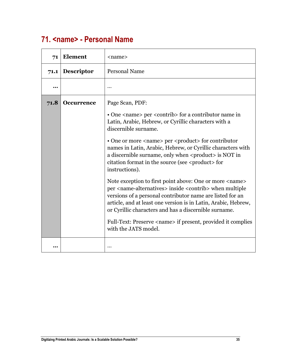### <span id="page-35-0"></span>**71. <name> - Personal Name**

| 71   | <b>Element</b>    | <name></name>                                                                                                                                                                                                                                                                                                                                                                                                                                                                                                                                                                                                                                                                                                                                                                                                                                                                                                                  |
|------|-------------------|--------------------------------------------------------------------------------------------------------------------------------------------------------------------------------------------------------------------------------------------------------------------------------------------------------------------------------------------------------------------------------------------------------------------------------------------------------------------------------------------------------------------------------------------------------------------------------------------------------------------------------------------------------------------------------------------------------------------------------------------------------------------------------------------------------------------------------------------------------------------------------------------------------------------------------|
| 71.1 | <b>Descriptor</b> | Personal Name                                                                                                                                                                                                                                                                                                                                                                                                                                                                                                                                                                                                                                                                                                                                                                                                                                                                                                                  |
|      |                   |                                                                                                                                                                                                                                                                                                                                                                                                                                                                                                                                                                                                                                                                                                                                                                                                                                                                                                                                |
| 71.8 | <b>Occurrence</b> | Page Scan, PDF:<br>• One <name> per <contrib> for a contributor name in<br/>Latin, Arabic, Hebrew, or Cyrillic characters with a<br/>discernible surname.<br/>• One or more <name> per <product> for contributor<br/>names in Latin, Arabic, Hebrew, or Cyrillic characters with<br/>a discernible surname, only when <product> is NOT in<br/>citation format in the source (see <product> for<br/>instructions).<br/>Note exception to first point above: One or more <name><br/>per <name-alternatives> inside <contrib> when multiple<br/>versions of a personal contributor name are listed for an<br/>article, and at least one version is in Latin, Arabic, Hebrew,<br/>or Cyrillic characters and has a discernible surname.<br/>Full-Text: Preserve <name> if present, provided it complies<br/>with the JATS model.</name></contrib></name-alternatives></name></product></product></product></name></contrib></name> |
|      |                   |                                                                                                                                                                                                                                                                                                                                                                                                                                                                                                                                                                                                                                                                                                                                                                                                                                                                                                                                |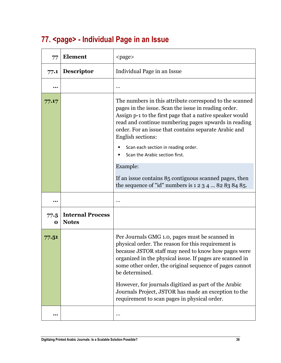| 77                      | <b>Element</b>                          | <page></page>                                                                                                                                                                                                                                                                                                                                                                                                                                                         |
|-------------------------|-----------------------------------------|-----------------------------------------------------------------------------------------------------------------------------------------------------------------------------------------------------------------------------------------------------------------------------------------------------------------------------------------------------------------------------------------------------------------------------------------------------------------------|
| 77.1                    | <b>Descriptor</b>                       | Individual Page in an Issue                                                                                                                                                                                                                                                                                                                                                                                                                                           |
| $\bullet\bullet\bullet$ |                                         |                                                                                                                                                                                                                                                                                                                                                                                                                                                                       |
| 77.17                   |                                         | The numbers in this attribute correspond to the scanned<br>pages in the issue. Scan the issue in reading order.<br>Assign p-1 to the first page that a native speaker would<br>read and continue numbering pages upwards in reading<br>order. For an issue that contains separate Arabic and<br>English sections:<br>Scan each section in reading order.<br>Scan the Arabic section first.<br>Example:                                                                |
|                         |                                         | If an issue contains 85 contiguous scanned pages, then<br>the sequence of "id" numbers is $1 2 3 4  82 83 84 85.$                                                                                                                                                                                                                                                                                                                                                     |
| $\bullet\bullet\bullet$ |                                         |                                                                                                                                                                                                                                                                                                                                                                                                                                                                       |
| 77.5<br>0               | <b>Internal Process</b><br><b>Notes</b> |                                                                                                                                                                                                                                                                                                                                                                                                                                                                       |
| 77.51                   |                                         | Per Journals GMG 1.0, pages must be scanned in<br>physical order. The reason for this requirement is<br>because JSTOR staff may need to know how pages were<br>organized in the physical issue. If pages are scanned in<br>some other order, the original sequence of pages cannot<br>be determined.<br>However, for journals digitized as part of the Arabic<br>Journals Project, JSTOR has made an exception to the<br>requirement to scan pages in physical order. |
|                         |                                         |                                                                                                                                                                                                                                                                                                                                                                                                                                                                       |

# <span id="page-36-0"></span>**77. <page> - Individual Page in an Issue**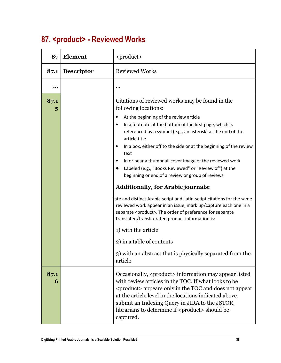# <span id="page-38-0"></span>**87. <product> - Reviewed Works**

| 87        | <b>Element</b>    | <product></product>                                                                                                                                                                                                                                                                                                                                                                                                                                                                                                                                                                                                                                                                                                                                                                                                                                                                                                                                                                                                 |  |
|-----------|-------------------|---------------------------------------------------------------------------------------------------------------------------------------------------------------------------------------------------------------------------------------------------------------------------------------------------------------------------------------------------------------------------------------------------------------------------------------------------------------------------------------------------------------------------------------------------------------------------------------------------------------------------------------------------------------------------------------------------------------------------------------------------------------------------------------------------------------------------------------------------------------------------------------------------------------------------------------------------------------------------------------------------------------------|--|
| 87.1      | <b>Descriptor</b> | <b>Reviewed Works</b>                                                                                                                                                                                                                                                                                                                                                                                                                                                                                                                                                                                                                                                                                                                                                                                                                                                                                                                                                                                               |  |
| $\cdots$  |                   |                                                                                                                                                                                                                                                                                                                                                                                                                                                                                                                                                                                                                                                                                                                                                                                                                                                                                                                                                                                                                     |  |
| 87.1<br>5 |                   | Citations of reviewed works may be found in the<br>following locations:<br>At the beginning of the review article<br>٠<br>In a footnote at the bottom of the first page, which is<br>$\bullet$<br>referenced by a symbol (e.g., an asterisk) at the end of the<br>article title<br>In a box, either off to the side or at the beginning of the review<br>٠<br>text<br>In or near a thumbnail cover image of the reviewed work<br>٠<br>Labeled (e.g., "Books Reviewed" or "Review of") at the<br>$\bullet$<br>beginning or end of a review or group of reviews<br><b>Additionally, for Arabic journals:</b><br>ate and distinct Arabic-script and Latin-script citations for the same<br>reviewed work appear in an issue, mark up/capture each one in a<br>separate <product>. The order of preference for separate<br/>translated/transliterated product information is:<br/>1) with the article<br/>2) in a table of contents<br/>3) with an abstract that is physically separated from the<br/>article</product> |  |
| 87.1<br>6 |                   | Occasionally, <product> information may appear listed<br/>with review articles in the TOC. If what looks to be<br/><product> appears only in the TOC and does not appear<br/>at the article level in the locations indicated above,<br/>submit an Indexing Query in JIRA to the JSTOR<br/>librarians to determine if <product> should be<br/>captured.</product></product></product>                                                                                                                                                                                                                                                                                                                                                                                                                                                                                                                                                                                                                                |  |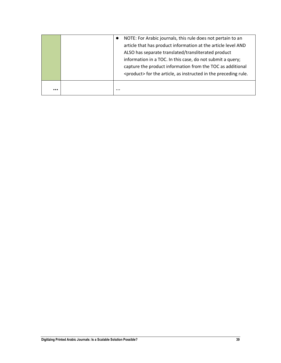|                         | NOTE: For Arabic journals, this rule does not pertain to an<br>$\bullet$<br>article that has product information at the article level AND<br>ALSO has separate translated/transliterated product<br>information in a TOC. In this case, do not submit a query;<br>capture the product information from the TOC as additional<br><product> for the article, as instructed in the preceding rule.</product> |
|-------------------------|-----------------------------------------------------------------------------------------------------------------------------------------------------------------------------------------------------------------------------------------------------------------------------------------------------------------------------------------------------------------------------------------------------------|
| $\bullet\bullet\bullet$ | $\ddotsc$                                                                                                                                                                                                                                                                                                                                                                                                 |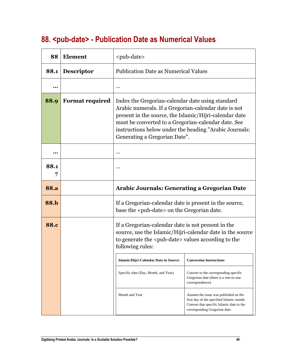| 88                      | <b>Element</b>         | <pub-date></pub-date>                                                                                                                                                                                                                                                                                                |                                                                                                                                                                  |
|-------------------------|------------------------|----------------------------------------------------------------------------------------------------------------------------------------------------------------------------------------------------------------------------------------------------------------------------------------------------------------------|------------------------------------------------------------------------------------------------------------------------------------------------------------------|
| 88.1                    | <b>Descriptor</b>      | <b>Publication Date as Numerical Values</b>                                                                                                                                                                                                                                                                          |                                                                                                                                                                  |
| $\cdots$                |                        |                                                                                                                                                                                                                                                                                                                      |                                                                                                                                                                  |
| 88.9                    | <b>Format required</b> | Index the Gregorian-calendar date using standard<br>Arabic numerals. If a Gregorian-calendar date is not<br>present in the source, the Islamic/Hijri-calendar date<br>must be converted to a Gregorian-calendar date. See<br>instructions below under the heading "Arabic Journals:<br>Generating a Gregorian Date". |                                                                                                                                                                  |
| $\bullet\bullet\bullet$ |                        | $\ddotsc$                                                                                                                                                                                                                                                                                                            |                                                                                                                                                                  |
| 88.1<br>7               |                        | $\ddotsc$                                                                                                                                                                                                                                                                                                            |                                                                                                                                                                  |
| 88.a                    |                        | <b>Arabic Journals: Generating a Gregorian Date</b>                                                                                                                                                                                                                                                                  |                                                                                                                                                                  |
| 88.b                    |                        | If a Gregorian-calendar date is present in the source,<br>base the <pub-date> on the Gregorian date.</pub-date>                                                                                                                                                                                                      |                                                                                                                                                                  |
| 88.c                    |                        | If a Gregorian-calendar date is not present in the<br>to generate the <pub-date> values according to the<br/>following rules:</pub-date>                                                                                                                                                                             | source, use the Islamic/Hijri-calendar date in the source                                                                                                        |
|                         |                        | Islamic/Hijri-Calendar Date in Source:                                                                                                                                                                                                                                                                               | <b>Conversion Instructions</b>                                                                                                                                   |
|                         |                        | Specific date (Day, Month, and Year)                                                                                                                                                                                                                                                                                 | Convert to the corresponding specific<br>Gregorian date (there is a one-to-one<br>correspondence).                                                               |
|                         |                        | Month and Year                                                                                                                                                                                                                                                                                                       | Assume the issue was published on the<br>first day of the specified Islamic month.<br>Convert that specific Islamic date to the<br>corresponding Gregorian date. |

### <span id="page-40-0"></span>**88. <pub-date> - Publication Date as Numerical Values**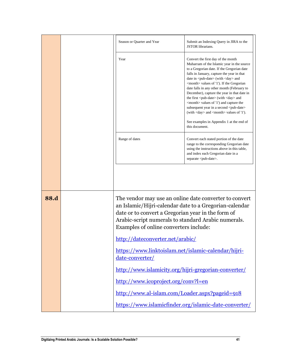|      | Season or Quarter and Year                                                                                                                                                                                                                                                                                                                                                                                                                                                                                                                                                                      | Submit an Indexing Query in JIRA to the<br>JSTOR librarians.                                                                                                                                                                                                                                                                                                                                                                                                                                                                                                                                                                                                                                                                                                                                                                                                                                                                                                    |
|------|-------------------------------------------------------------------------------------------------------------------------------------------------------------------------------------------------------------------------------------------------------------------------------------------------------------------------------------------------------------------------------------------------------------------------------------------------------------------------------------------------------------------------------------------------------------------------------------------------|-----------------------------------------------------------------------------------------------------------------------------------------------------------------------------------------------------------------------------------------------------------------------------------------------------------------------------------------------------------------------------------------------------------------------------------------------------------------------------------------------------------------------------------------------------------------------------------------------------------------------------------------------------------------------------------------------------------------------------------------------------------------------------------------------------------------------------------------------------------------------------------------------------------------------------------------------------------------|
|      | Year<br>Range of dates                                                                                                                                                                                                                                                                                                                                                                                                                                                                                                                                                                          | Convert the first day of the month<br>Muharram of the Islamic year in the source<br>to a Gregorian date. If the Gregorian date<br>falls in January, capture the year in that<br>date in <pub-date> (with <day> and<br/><month> values of '1'). If the Gregorian<br/>date falls in any other month (February to<br/>December), capture the year in that date in<br/>the first <pub-date> (with <day> and<br/><month> values of '1') and capture the<br/>subsequent year in a second <pub-date><br/>(with <math>\langle \text{day} \rangle</math> and <math>\langle \text{month} \rangle</math> values of '1').<br/>See examples in Appendix 1 at the end of<br/>this document.<br/>Convert each stated portion of the date<br/>range to the corresponding Gregorian date<br/>using the instructions above in this table,<br/>and index each Gregorian date in a<br/>separate <pub-date>.</pub-date></pub-date></month></day></pub-date></month></day></pub-date> |
| 88.d | The vendor may use an online date converter to convert<br>an Islamic/Hijri-calendar date to a Gregorian-calendar<br>date or to convert a Gregorian year in the form of<br>Arabic-script numerals to standard Arabic numerals.<br>Examples of online converters include:<br>http://dateconverter.net/arabic/<br>https://www.linktoislam.net/islamic-calendar/hijri-<br>date-converter/<br>http://www.islamicity.org/hijri-gregorian-converter/<br>http://www.icoproject.org/conv?l=en<br>http://www.al-islam.com/Loader.aspx?pageid=918<br>https://www.islamicfinder.org/islamic-date-converter/ |                                                                                                                                                                                                                                                                                                                                                                                                                                                                                                                                                                                                                                                                                                                                                                                                                                                                                                                                                                 |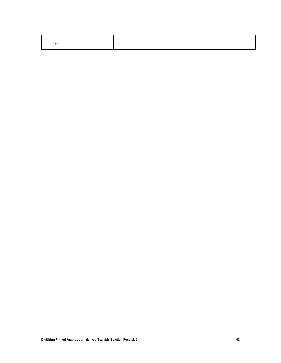| $\cdots$ | $\cdots$ |
|----------|----------|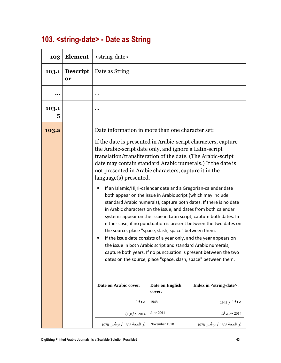| 103        | <b>Element</b>        | <string-date></string-date>                                                                                                                                                                                                                                                                                                                                                                                                                                                                                                                                                                                                                                                                                                                                                                                                                                                                                                                                                                                          |               |                             |
|------------|-----------------------|----------------------------------------------------------------------------------------------------------------------------------------------------------------------------------------------------------------------------------------------------------------------------------------------------------------------------------------------------------------------------------------------------------------------------------------------------------------------------------------------------------------------------------------------------------------------------------------------------------------------------------------------------------------------------------------------------------------------------------------------------------------------------------------------------------------------------------------------------------------------------------------------------------------------------------------------------------------------------------------------------------------------|---------------|-----------------------------|
| 103.1      | <b>Descript</b><br>or | Date as String                                                                                                                                                                                                                                                                                                                                                                                                                                                                                                                                                                                                                                                                                                                                                                                                                                                                                                                                                                                                       |               |                             |
|            |                       |                                                                                                                                                                                                                                                                                                                                                                                                                                                                                                                                                                                                                                                                                                                                                                                                                                                                                                                                                                                                                      |               |                             |
| 103.1<br>5 |                       |                                                                                                                                                                                                                                                                                                                                                                                                                                                                                                                                                                                                                                                                                                                                                                                                                                                                                                                                                                                                                      |               |                             |
| 103.a      |                       | Date information in more than one character set:<br>If the date is presented in Arabic-script characters, capture<br>the Arabic-script date only, and ignore a Latin-script<br>translation/transliteration of the date. (The Arabic-script<br>date may contain standard Arabic numerals.) If the date is<br>not presented in Arabic characters, capture it in the<br>language(s) presented.<br>If an Islamic/Hijri-calendar date and a Gregorian-calendar date<br>both appear on the issue in Arabic script (which may include<br>standard Arabic numerals), capture both dates. If there is no date<br>in Arabic characters on the issue, and dates from both calendar<br>systems appear on the issue in Latin script, capture both dates. In<br>either case, if no punctuation is present between the two dates on<br>the source, place "space, slash, space" between them.<br>If the issue date consists of a year only, and the year appears on<br>the issue in both Arabic script and standard Arabic numerals, |               |                             |
|            |                       | capture both years. If no punctuation is present between the two<br>dates on the source, place "space, slash, space" between them.<br>Date on Arabic cover:<br>Date on English<br>Index in <string-date>:</string-date>                                                                                                                                                                                                                                                                                                                                                                                                                                                                                                                                                                                                                                                                                                                                                                                              |               |                             |
|            |                       |                                                                                                                                                                                                                                                                                                                                                                                                                                                                                                                                                                                                                                                                                                                                                                                                                                                                                                                                                                                                                      | cover:        |                             |
|            |                       | $195\lambda$                                                                                                                                                                                                                                                                                                                                                                                                                                                                                                                                                                                                                                                                                                                                                                                                                                                                                                                                                                                                         | 1948          | 1948 / 1921                 |
|            |                       | 2014 حزير ان                                                                                                                                                                                                                                                                                                                                                                                                                                                                                                                                                                                                                                                                                                                                                                                                                                                                                                                                                                                                         | June 2014     | 2014 حزيران                 |
|            |                       | نو الحجة 1398 / نوڤمبر 1978                                                                                                                                                                                                                                                                                                                                                                                                                                                                                                                                                                                                                                                                                                                                                                                                                                                                                                                                                                                          | November 1978 | نو الحجة 1398 / نوڤمبر 1978 |

# <span id="page-43-0"></span>**103. <string-date> - Date as String**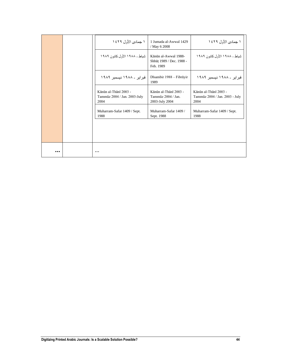|                         | ۱ جمادي الأول ۱٤۲۹                                            | 1 Jumada al-Awwal 1429<br>/ May 6 2008                        | ١ جمادي الأول ١٤٢٩                                              |
|-------------------------|---------------------------------------------------------------|---------------------------------------------------------------|-----------------------------------------------------------------|
|                         | شباط ـ ۱۹۸۸ الأول كانون ۱۹۸۹                                  | Kānūn al-Awwal 1988-<br>Shbat 1989 / Dec. 1988 -<br>Feb. 1989 | شباط ـ ۱۹۸۸ الأول كانون ۱۹۸۹                                    |
|                         | فبر ایر ۔ ۱۹۸۸ دیسمبر ۱۹۸۹                                    | Dīsambir 1988 - Fibrāyir<br>1989                              | فبر ایر ۔ ۱۹۸۸ دیسمبر ۱۹۸۹                                      |
|                         | Kānūn al-Thānī 2003 -<br>Tammūz 2004 / Jan. 2003-July<br>2004 | Kānūn al-Thānī 2003 -<br>Tammūz 2004 / Jan.<br>2003-July 2004 | Kānūn al-Thānī 2003 -<br>Tammūz 2004 / Jan. 2003 - July<br>2004 |
|                         | Muharram-Safar 1409 / Sept.<br>1988                           | Muharram-Safar 1409 /<br>Sept. 1988                           | Muharram-Safar 1409 / Sept.<br>1988                             |
|                         |                                                               |                                                               |                                                                 |
| $\bullet\bullet\bullet$ | $\ddotsc$                                                     |                                                               |                                                                 |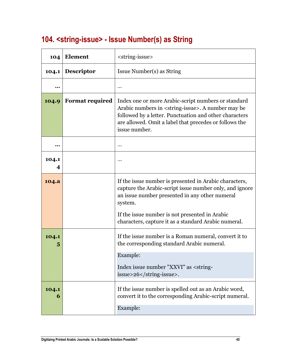| 104        | Element                | <string-issue></string-issue>                                                                                                                                                                                                                                   |
|------------|------------------------|-----------------------------------------------------------------------------------------------------------------------------------------------------------------------------------------------------------------------------------------------------------------|
| 104.1      | <b>Descriptor</b>      | Issue Number(s) as String                                                                                                                                                                                                                                       |
| $\ddotsc$  |                        |                                                                                                                                                                                                                                                                 |
| 104.9      | <b>Format required</b> | Index one or more Arabic-script numbers or standard<br>Arabic numbers in <string-issue>. A number may be<br/>followed by a letter. Punctuation and other characters<br/>are allowed. Omit a label that precedes or follows the<br/>issue number.</string-issue> |
|            |                        |                                                                                                                                                                                                                                                                 |
| 104.1<br>4 |                        |                                                                                                                                                                                                                                                                 |
| 104.a      |                        | If the issue number is presented in Arabic characters,<br>capture the Arabic-script issue number only, and ignore<br>an issue number presented in any other numeral<br>system.                                                                                  |
|            |                        | If the issue number is not presented in Arabic<br>characters, capture it as a standard Arabic numeral.                                                                                                                                                          |
| 104.1<br>5 |                        | If the issue number is a Roman numeral, convert it to<br>the corresponding standard Arabic numeral.                                                                                                                                                             |
|            |                        | Example:<br>Index issue number "XXVI" as <string-< th=""></string-<>                                                                                                                                                                                            |
|            |                        | issue>26.                                                                                                                                                                                                                                                       |
| 104.1<br>6 |                        | If the issue number is spelled out as an Arabic word,<br>convert it to the corresponding Arabic-script numeral.<br>Example:                                                                                                                                     |

# <span id="page-45-0"></span>**104. <string-issue> - Issue Number(s) as String**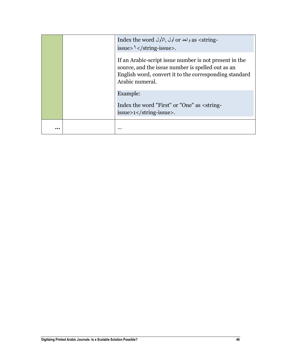|                         | -as <string ,الأول="" index="" or="" the="" word<br="" أول="" واحد=""><math>issue &gt; \frac{\times}{\text{string} - \text{issue}}</math>.</string>                                      |
|-------------------------|------------------------------------------------------------------------------------------------------------------------------------------------------------------------------------------|
|                         | If an Arabic-script issue number is not present in the<br>source, and the issue number is spelled out as an<br>English word, convert it to the corresponding standard<br>Arabic numeral. |
|                         | Example:<br>Index the word "First" or "One" as <string-<br>issue&gt;1.</string-<br>                                                                                                      |
| $\bullet\bullet\bullet$ | $\cdots$                                                                                                                                                                                 |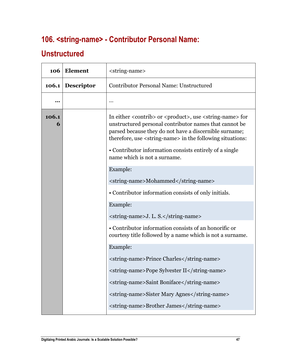# <span id="page-47-0"></span>**106. <string-name> - Contributor Personal Name:**

### **Unstructured**

| 106        | Element          | <string-name></string-name>                                                                                                                                                                                                                                                                                                                                                              |  |
|------------|------------------|------------------------------------------------------------------------------------------------------------------------------------------------------------------------------------------------------------------------------------------------------------------------------------------------------------------------------------------------------------------------------------------|--|
|            | 106.1 Descriptor | <b>Contributor Personal Name: Unstructured</b>                                                                                                                                                                                                                                                                                                                                           |  |
|            |                  |                                                                                                                                                                                                                                                                                                                                                                                          |  |
| 106.1<br>6 |                  | In either <contrib> or <product>, use <string-name> for<br/>unstructured personal contributor names that cannot be<br/>parsed because they do not have a discernible surname;<br/>therefore, use <string-name> in the following situations:<br/>• Contributor information consists entirely of a single<br/>name which is not a surname.</string-name></string-name></product></contrib> |  |
|            |                  | Example:                                                                                                                                                                                                                                                                                                                                                                                 |  |
|            |                  | <string-name>Mohammed</string-name><br>• Contributor information consists of only initials.                                                                                                                                                                                                                                                                                              |  |
|            |                  | Example:                                                                                                                                                                                                                                                                                                                                                                                 |  |
|            |                  | <string-name>J. L. S.</string-name>                                                                                                                                                                                                                                                                                                                                                      |  |
|            |                  | • Contributor information consists of an honorific or<br>courtesy title followed by a name which is not a surname.                                                                                                                                                                                                                                                                       |  |
|            |                  | Example:                                                                                                                                                                                                                                                                                                                                                                                 |  |
|            |                  | <string-name>Prince Charles</string-name>                                                                                                                                                                                                                                                                                                                                                |  |
|            |                  | <string-name>Pope Sylvester II</string-name>                                                                                                                                                                                                                                                                                                                                             |  |
|            |                  | <string-name>Saint Boniface</string-name>                                                                                                                                                                                                                                                                                                                                                |  |
|            |                  | <string-name>Sister Mary Agnes</string-name>                                                                                                                                                                                                                                                                                                                                             |  |
|            |                  | <string-name>Brother James</string-name>                                                                                                                                                                                                                                                                                                                                                 |  |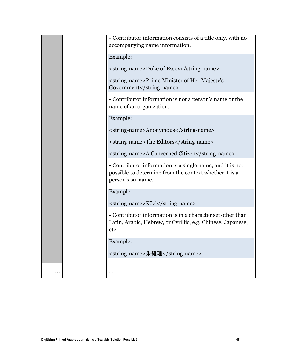|                         | • Contributor information consists of a title only, with no                                                                              |
|-------------------------|------------------------------------------------------------------------------------------------------------------------------------------|
|                         | accompanying name information.                                                                                                           |
|                         |                                                                                                                                          |
|                         | Example:                                                                                                                                 |
|                         | <string-name>Duke of Essex</string-name>                                                                                                 |
|                         | <string-name>Prime Minister of Her Majesty's<br/>Government</string-name>                                                                |
|                         | • Contributor information is not a person's name or the<br>name of an organization.                                                      |
|                         | Example:                                                                                                                                 |
|                         | <string-name>Anonymous</string-name>                                                                                                     |
|                         | <string-name>The Editors</string-name>                                                                                                   |
|                         | <string-name>A Concerned Citizen</string-name>                                                                                           |
|                         | • Contributor information is a single name, and it is not<br>possible to determine from the context whether it is a<br>person's surname. |
|                         | Example:                                                                                                                                 |
|                         | <string-name>Közi</string-name>                                                                                                          |
|                         | • Contributor information is in a character set other than<br>Latin, Arabic, Hebrew, or Cyrillic, e.g. Chinese, Japanese,<br>etc.        |
|                         | Example:                                                                                                                                 |
|                         | <string-name>朱維理</string-name>                                                                                                           |
| $\bullet\bullet\bullet$ |                                                                                                                                          |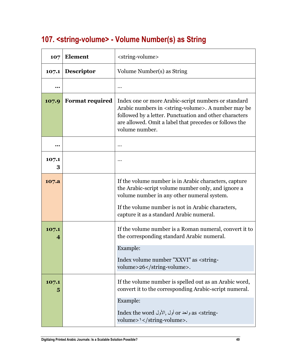| 107        | Element                | <string-volume></string-volume>                                                                                                                                                                                                                                    |
|------------|------------------------|--------------------------------------------------------------------------------------------------------------------------------------------------------------------------------------------------------------------------------------------------------------------|
| 107.1      | <b>Descriptor</b>      | Volume Number(s) as String                                                                                                                                                                                                                                         |
|            |                        |                                                                                                                                                                                                                                                                    |
| 107.9      | <b>Format required</b> | Index one or more Arabic-script numbers or standard<br>Arabic numbers in <string-volume>. A number may be<br/>followed by a letter. Punctuation and other characters<br/>are allowed. Omit a label that precedes or follows the<br/>volume number.</string-volume> |
|            |                        | $\ddotsc$                                                                                                                                                                                                                                                          |
| 107.1<br>3 |                        |                                                                                                                                                                                                                                                                    |
| 107.a      |                        | If the volume number is in Arabic characters, capture<br>the Arabic-script volume number only, and ignore a<br>volume number in any other numeral system.<br>If the volume number is not in Arabic characters,<br>capture it as a standard Arabic numeral.         |
| 107.1<br>4 |                        | If the volume number is a Roman numeral, convert it to<br>the corresponding standard Arabic numeral.<br>Example:<br>Index volume number "XXVI" as <string-< th=""></string-<>                                                                                      |
|            |                        | volume>26.                                                                                                                                                                                                                                                         |
| 107.1<br>5 |                        | If the volume number is spelled out as an Arabic word,<br>convert it to the corresponding Arabic-script numeral.                                                                                                                                                   |
|            |                        | Example:<br>-as <string ,الأول="" index="" or="" the="" word<br="" أول="" واحد="">volume&gt;'.</string>                                                                                                                                                            |

# <span id="page-49-0"></span>**107. <string-volume> - Volume Number(s) as String**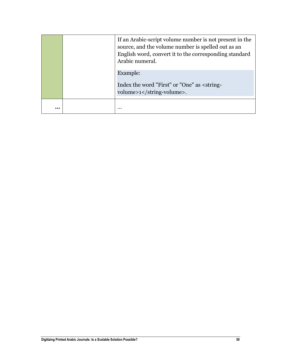|                         | If an Arabic-script volume number is not present in the<br>source, and the volume number is spelled out as an<br>English word, convert it to the corresponding standard<br>Arabic numeral. |
|-------------------------|--------------------------------------------------------------------------------------------------------------------------------------------------------------------------------------------|
|                         | Example:<br>Index the word "First" or "One" as <string-<br>volume&gt;1.</string-<br>                                                                                                       |
| $\bullet\bullet\bullet$ | $\cdots$                                                                                                                                                                                   |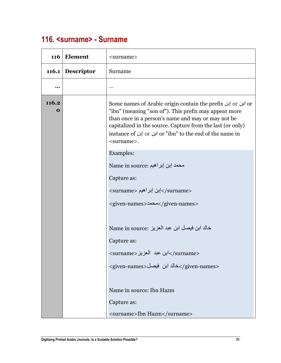#### <span id="page-51-0"></span>**116. <surname> - Surname**

| 116                     | <b>Element</b>    | <surname></surname>                                                                                                                                                                                                                                                                                                     |
|-------------------------|-------------------|-------------------------------------------------------------------------------------------------------------------------------------------------------------------------------------------------------------------------------------------------------------------------------------------------------------------------|
| 116.1                   | <b>Descriptor</b> | Surname                                                                                                                                                                                                                                                                                                                 |
| $\bullet\bullet\bullet$ |                   |                                                                                                                                                                                                                                                                                                                         |
| 116.2<br>O              |                   | Some names of Arabic origin contain the prefix ابن or إبن or<br>"ibn" (meaning "son of"). This prefix may appear more<br>than once in a person's name and may or may not be<br>capitalized in the source. Capture from the last (or only)<br>instance of ابن or "ibn" to the end of the name in<br><surname>.</surname> |
|                         |                   | Examples:<br>Name in source: محمد إبن إبراهيم<br>Capture as:                                                                                                                                                                                                                                                            |
|                         |                   | إبن إبراهيم<br><given-names>محمد</given-names>                                                                                                                                                                                                                                                                          |
|                         |                   | خالد ابن فيصل ابن عبد العزيز .Name in source<br>Capture as:<br>ابن عبد العزيز                                                                                                                                                                                                                                           |
|                         |                   | <given-names>خالد ابن فيصل<given-names></given-names></given-names>                                                                                                                                                                                                                                                     |
|                         |                   | Name in source: Ibn Hazm<br>Capture as:<br><surname>Ibn Hazm</surname>                                                                                                                                                                                                                                                  |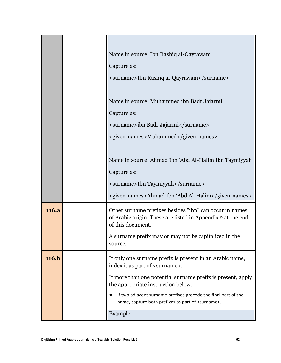|       | Name in source: Ibn Rashiq al-Qayrawani                                                                                                     |
|-------|---------------------------------------------------------------------------------------------------------------------------------------------|
|       | Capture as:                                                                                                                                 |
|       | <surname>Ibn Rashiq al-Qayrawani</surname>                                                                                                  |
|       |                                                                                                                                             |
|       | Name in source: Muhammed ibn Badr Jajarmi                                                                                                   |
|       | Capture as:                                                                                                                                 |
|       | <surname>ibn Badr Jajarmi</surname>                                                                                                         |
|       | <given-names>Muhammed</given-names>                                                                                                         |
|       |                                                                                                                                             |
|       | Name in source: Ahmad Ibn 'Abd Al-Halim Ibn Taymiyyah                                                                                       |
|       | Capture as:                                                                                                                                 |
|       | <surname>Ibn Taymiyyah</surname>                                                                                                            |
|       | <given-names>Ahmad Ibn 'Abd Al-Halim</given-names>                                                                                          |
| 116.a | Other surname prefixes besides "ibn" can occur in names<br>of Arabic origin. These are listed in Appendix 2 at the end<br>of this document. |
|       | A surname prefix may or may not be capitalized in the<br>source.                                                                            |
| 116.b | If only one surname prefix is present in an Arabic name,<br>index it as part of <surname>.</surname>                                        |
|       | If more than one potential surname prefix is present, apply<br>the appropriate instruction below:                                           |
|       | If two adjacent surname prefixes precede the final part of the<br>name, capture both prefixes as part of <surname>.</surname>               |
|       | Example:                                                                                                                                    |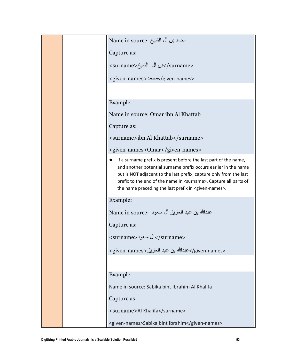|  | محمد بن أل الشيخ :Name in source                                                                                                                                                                                                                                                                                                                               |
|--|----------------------------------------------------------------------------------------------------------------------------------------------------------------------------------------------------------------------------------------------------------------------------------------------------------------------------------------------------------------|
|  | Capture as:                                                                                                                                                                                                                                                                                                                                                    |
|  | <surname>بن أل الشيخ<surname></surname></surname>                                                                                                                                                                                                                                                                                                              |
|  | <given-names>محمد</given-names>                                                                                                                                                                                                                                                                                                                                |
|  |                                                                                                                                                                                                                                                                                                                                                                |
|  | Example:                                                                                                                                                                                                                                                                                                                                                       |
|  | Name in source: Omar ibn Al Khattab                                                                                                                                                                                                                                                                                                                            |
|  | Capture as:                                                                                                                                                                                                                                                                                                                                                    |
|  | <surname>ibn Al Khattab</surname>                                                                                                                                                                                                                                                                                                                              |
|  | <given-names>Omar</given-names>                                                                                                                                                                                                                                                                                                                                |
|  | If a surname prefix is present before the last part of the name,<br>and another potential surname prefix occurs earlier in the name<br>but is NOT adjacent to the last prefix, capture only from the last<br>prefix to the end of the name in <surname>. Capture all parts of<br/>the name preceding the last prefix in <given-names>.</given-names></surname> |
|  | Example:                                                                                                                                                                                                                                                                                                                                                       |
|  | عبدالله بن عبد العزيز أل سعود :Name in source                                                                                                                                                                                                                                                                                                                  |
|  | Capture as:                                                                                                                                                                                                                                                                                                                                                    |
|  | <surname> أل سعود<surname></surname></surname>                                                                                                                                                                                                                                                                                                                 |
|  | <given-names>عبدالله بن عبد العزيز<given-names></given-names></given-names>                                                                                                                                                                                                                                                                                    |
|  |                                                                                                                                                                                                                                                                                                                                                                |
|  | Example:                                                                                                                                                                                                                                                                                                                                                       |
|  | Name in source: Sabika bint Ibrahim Al Khalifa                                                                                                                                                                                                                                                                                                                 |
|  | Capture as:                                                                                                                                                                                                                                                                                                                                                    |
|  | <surname>Al Khalifa</surname>                                                                                                                                                                                                                                                                                                                                  |
|  | <given-names>Sabika bint Ibrahim</given-names>                                                                                                                                                                                                                                                                                                                 |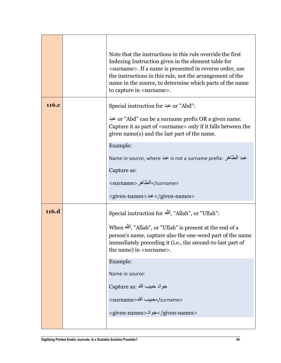|       | Note that the instructions in this rule override the first<br>Indexing Instruction given in the element table for<br><surname>. If a name is presented in reverse order, use<br/>the instructions in this rule, not the arrangement of the<br/>name in the source, to determine which parts of the name<br/>to capture in <surname>.</surname></surname>                                                                                        |
|-------|-------------------------------------------------------------------------------------------------------------------------------------------------------------------------------------------------------------------------------------------------------------------------------------------------------------------------------------------------------------------------------------------------------------------------------------------------|
| 116.c | : "Special instruction for عبد or "Abd":<br>or "Abd" can be a surname prefix OR a given name.<br>Capture it as part of <surname> only if it falls between the<br/>given name(s) and the last part of the name.</surname>                                                                                                                                                                                                                        |
|       | Example:<br>Name in source, where عبد الطاهر is not a surname prefix: عبد الطاهر<br>Capture as:<br><surname>الطاهر<surname><br/><given-names>عبد</given-names></surname></surname>                                                                                                                                                                                                                                                              |
| 116.d | Special instruction for "Ullah", or "Ullah":<br>When $\mathcal{N}$ الله, "Allah", or "Ullah" is present at the end of a<br>person's name, capture also the one-word part of the name<br>immediately preceding it (i.e., the second-to-last part of<br>the name) in <surname>.<br/>Example:<br/>Name in source:<br/>جواد حبيب الله :Capture as<br/><surname>حبيب الله<surname><br/><given-names>جواد</given-names></surname></surname></surname> |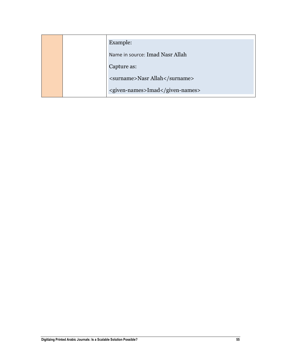|  | Example:                        |
|--|---------------------------------|
|  | Name in source: Imad Nasr Allah |
|  | Capture as:                     |
|  | <surname>Nasr Allah</surname>   |
|  | <given-names>Imad</given-names> |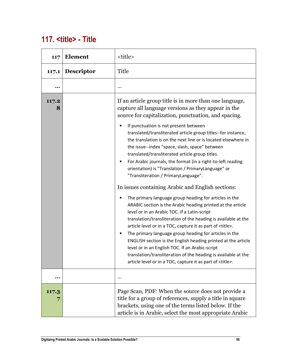#### <span id="page-56-0"></span>**117. <title> - Title**

| 117                     | <b>Element</b>    | <title></title>                                                                                                                                                                                                                                                                                                                                                                                                                                                                                                                                                                                                                                                                                                                                                                                                                                                                                                                                                                                                                                                                                                                                                                                                                                                                                                     |
|-------------------------|-------------------|---------------------------------------------------------------------------------------------------------------------------------------------------------------------------------------------------------------------------------------------------------------------------------------------------------------------------------------------------------------------------------------------------------------------------------------------------------------------------------------------------------------------------------------------------------------------------------------------------------------------------------------------------------------------------------------------------------------------------------------------------------------------------------------------------------------------------------------------------------------------------------------------------------------------------------------------------------------------------------------------------------------------------------------------------------------------------------------------------------------------------------------------------------------------------------------------------------------------------------------------------------------------------------------------------------------------|
| 117.1                   | <b>Descriptor</b> | Title                                                                                                                                                                                                                                                                                                                                                                                                                                                                                                                                                                                                                                                                                                                                                                                                                                                                                                                                                                                                                                                                                                                                                                                                                                                                                                               |
| $\ddotsc$               |                   |                                                                                                                                                                                                                                                                                                                                                                                                                                                                                                                                                                                                                                                                                                                                                                                                                                                                                                                                                                                                                                                                                                                                                                                                                                                                                                                     |
| 117.2<br>8              |                   | If an article group title is in more than one language,<br>capture all language versions as they appear in the<br>source for capitalization, punctuation, and spacing.<br>If punctuation is not present between<br>translated/transliterated article group titles--for instance,<br>the translation is on the next line or is located elsewhere in<br>the issue--index "space, slash, space" between<br>translated/transliterated article group titles.<br>For Arabic journals, the format (in a right-to-left reading<br>orientation) is "Translation / PrimaryLanguage" or<br>"Transliteration / PrimaryLanguage".<br>In issues containing Arabic and English sections:<br>The primary language group heading for articles in the<br>ARABIC section is the Arabic heading printed at the article<br>level or in an Arabic TOC. If a Latin-script<br>translation/transliteration of the heading is available at the<br>article level or in a TOC, capture it as part of <title>.<br/>The primary language group heading for articles in the<br/>ENGLISH section is the English heading printed at the article<br/>level or in an English TOC. If an Arabic-script<br/>translation/transliteration of the heading is available at the<br/>article level or in a TOC, capture it as part of <title>.</title></title> |
| $\bullet\bullet\bullet$ |                   |                                                                                                                                                                                                                                                                                                                                                                                                                                                                                                                                                                                                                                                                                                                                                                                                                                                                                                                                                                                                                                                                                                                                                                                                                                                                                                                     |
| 117.3<br>7              |                   | Page Scan, PDF: When the source does not provide a<br>title for a group of references, supply a title in square<br>brackets, using one of the terms listed below. If the<br>article is in Arabic, select the most appropriate Arabic                                                                                                                                                                                                                                                                                                                                                                                                                                                                                                                                                                                                                                                                                                                                                                                                                                                                                                                                                                                                                                                                                |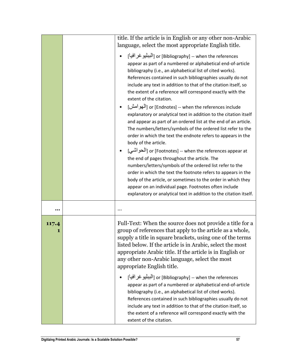|                         | title. If the article is in English or any other non-Arabic<br>language, select the most appropriate English title.                                                                                                                                                                                                                                                                                                                                                                                                                                                                                                                                                                                                                                                                                                                                                                                                                                                                                                                                                                                                                                                      |
|-------------------------|--------------------------------------------------------------------------------------------------------------------------------------------------------------------------------------------------------------------------------------------------------------------------------------------------------------------------------------------------------------------------------------------------------------------------------------------------------------------------------------------------------------------------------------------------------------------------------------------------------------------------------------------------------------------------------------------------------------------------------------------------------------------------------------------------------------------------------------------------------------------------------------------------------------------------------------------------------------------------------------------------------------------------------------------------------------------------------------------------------------------------------------------------------------------------|
|                         | or [Bibliography] -- when the references [الببليو غر افيا]<br>appear as part of a numbered or alphabetical end-of-article<br>bibliography (i.e., an alphabetical list of cited works).<br>References contained in such bibliographies usually do not<br>include any text in addition to that of the citation itself, so<br>the extent of a reference will correspond exactly with the<br>extent of the citation.<br>or [Endnotes] -- when the references include [المهوامش]<br>$\bullet$<br>explanatory or analytical text in addition to the citation itself<br>and appear as part of an ordered list at the end of an article.<br>The numbers/letters/symbols of the ordered list refer to the<br>order in which the text the endnote refers to appears in the<br>body of the article.<br>or [Footnotes] -- when the references appear at [الحواشي]<br>$\bullet$<br>the end of pages throughout the article. The<br>numbers/letters/symbols of the ordered list refer to the<br>order in which the text the footnote refers to appears in the<br>body of the article, or sometimes to the order in which they<br>appear on an individual page. Footnotes often include |
|                         | explanatory or analytical text in addition to the citation itself.                                                                                                                                                                                                                                                                                                                                                                                                                                                                                                                                                                                                                                                                                                                                                                                                                                                                                                                                                                                                                                                                                                       |
| $\bullet\bullet\bullet$ |                                                                                                                                                                                                                                                                                                                                                                                                                                                                                                                                                                                                                                                                                                                                                                                                                                                                                                                                                                                                                                                                                                                                                                          |
| 117.4<br>1              | Full-Text: When the source does not provide a title for a<br>group of references that apply to the article as a whole,<br>supply a title in square brackets, using one of the terms<br>listed below. If the article is in Arabic, select the most<br>appropriate Arabic title. If the article is in English or<br>any other non-Arabic language, select the most<br>appropriate English title.                                                                                                                                                                                                                                                                                                                                                                                                                                                                                                                                                                                                                                                                                                                                                                           |
|                         | or [Bibliography] -- when the references [الببليو غر افيا]<br>$\bullet$<br>appear as part of a numbered or alphabetical end-of-article<br>bibliography (i.e., an alphabetical list of cited works).<br>References contained in such bibliographies usually do not<br>include any text in addition to that of the citation itself, so<br>the extent of a reference will correspond exactly with the<br>extent of the citation.                                                                                                                                                                                                                                                                                                                                                                                                                                                                                                                                                                                                                                                                                                                                            |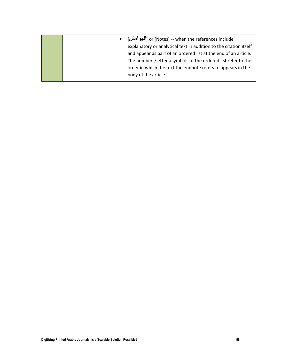|  | or [Notes] -- when the references include] اللهوامش]<br>$\bullet$<br>explanatory or analytical text in addition to the citation itself<br>and appear as part of an ordered list at the end of an article.<br>The numbers/letters/symbols of the ordered list refer to the |
|--|---------------------------------------------------------------------------------------------------------------------------------------------------------------------------------------------------------------------------------------------------------------------------|
|  | order in which the text the endnote refers to appears in the<br>body of the article.                                                                                                                                                                                      |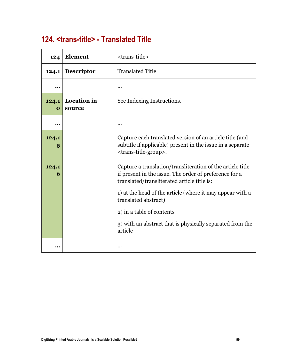| 124        | <b>Element</b>               | <trans-title></trans-title>                                                                                                                                                                                                      |
|------------|------------------------------|----------------------------------------------------------------------------------------------------------------------------------------------------------------------------------------------------------------------------------|
| 124.1      | <b>Descriptor</b>            | <b>Translated Title</b>                                                                                                                                                                                                          |
| $\ddotsc$  |                              | $\ddotsc$                                                                                                                                                                                                                        |
| 124.1<br>O | <b>Location</b> in<br>source | See Indexing Instructions.                                                                                                                                                                                                       |
|            |                              | $\ddotsc$                                                                                                                                                                                                                        |
| 124.1<br>5 |                              | Capture each translated version of an article title (and<br>subtitle if applicable) present in the issue in a separate<br><trans-title-group>.</trans-title-group>                                                               |
| 124.1<br>6 |                              | Capture a translation/transliteration of the article title<br>if present in the issue. The order of preference for a<br>translated/transliterated article title is:<br>1) at the head of the article (where it may appear with a |
|            |                              | translated abstract)                                                                                                                                                                                                             |
|            |                              | 2) in a table of contents                                                                                                                                                                                                        |
|            |                              | 3) with an abstract that is physically separated from the<br>article                                                                                                                                                             |
|            |                              |                                                                                                                                                                                                                                  |

### <span id="page-59-0"></span>**124. <trans-title> - Translated Title**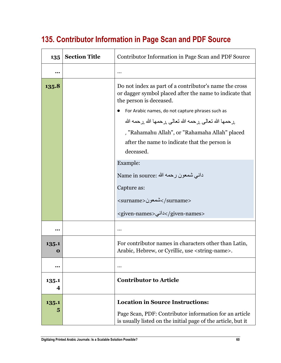| 135        | <b>Section Title</b> | Contributor Information in Page Scan and PDF Source                                                                                          |
|------------|----------------------|----------------------------------------------------------------------------------------------------------------------------------------------|
| $\ddotsc$  |                      |                                                                                                                                              |
| 135.8      |                      | Do not index as part of a contributor's name the cross<br>or dagger symbol placed after the name to indicate that<br>the person is deceased. |
|            |                      | For Arabic names, do not capture phrases such as                                                                                             |
|            |                      | رحمها الله تعالى رحمه الله تعالى رحمها الله رحمه الله.                                                                                       |
|            |                      | , "Rahamahu Allah", or "Rahamaha Allah" placed                                                                                               |
|            |                      | after the name to indicate that the person is                                                                                                |
|            |                      | deceased.                                                                                                                                    |
|            |                      | Example:                                                                                                                                     |
|            |                      | داني شمعون رحمه الله :Name in source                                                                                                         |
|            |                      | Capture as:                                                                                                                                  |
|            |                      | <surname>شمعون<surname></surname></surname>                                                                                                  |
|            |                      | <given-names>داني</given-names>                                                                                                              |
| $\ddotsc$  |                      |                                                                                                                                              |
| 135.1<br>O |                      | For contributor names in characters other than Latin,<br>Arabic, Hebrew, or Cyrillic, use <string-name>.</string-name>                       |
| $\ddotsc$  |                      | $\ddotsc$                                                                                                                                    |
| 135.1<br>4 |                      | <b>Contributor to Article</b>                                                                                                                |
| 135.1      |                      | <b>Location in Source Instructions:</b>                                                                                                      |
| 5          |                      | Page Scan, PDF: Contributor information for an article<br>is usually listed on the initial page of the article, but it                       |

# <span id="page-60-0"></span>**135. Contributor Information in Page Scan and PDF Source**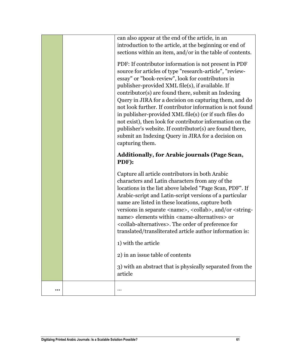|          | can also appear at the end of the article, in an<br>introduction to the article, at the beginning or end of<br>sections within an item, and/or in the table of contents.<br>PDF: If contributor information is not present in PDF<br>source for articles of type "research-article", "review-<br>essay" or "book-review", look for contributors in<br>publisher-provided XML file(s), if available. If<br>contributor(s) are found there, submit an Indexing<br>Query in JIRA for a decision on capturing them, and do<br>not look further. If contributor information is not found<br>in publisher-provided XML file(s) (or if such files do<br>not exist), then look for contributor information on the<br>publisher's website. If contributor(s) are found there,<br>submit an Indexing Query in JIRA for a decision on<br>capturing them. |                                                                                                                                                                                                                                                                                                                                                                                                                                                                                                                                                                                       |  |
|----------|-----------------------------------------------------------------------------------------------------------------------------------------------------------------------------------------------------------------------------------------------------------------------------------------------------------------------------------------------------------------------------------------------------------------------------------------------------------------------------------------------------------------------------------------------------------------------------------------------------------------------------------------------------------------------------------------------------------------------------------------------------------------------------------------------------------------------------------------------|---------------------------------------------------------------------------------------------------------------------------------------------------------------------------------------------------------------------------------------------------------------------------------------------------------------------------------------------------------------------------------------------------------------------------------------------------------------------------------------------------------------------------------------------------------------------------------------|--|
|          |                                                                                                                                                                                                                                                                                                                                                                                                                                                                                                                                                                                                                                                                                                                                                                                                                                               | <b>Additionally, for Arabic journals (Page Scan,</b><br>PDF):                                                                                                                                                                                                                                                                                                                                                                                                                                                                                                                         |  |
|          |                                                                                                                                                                                                                                                                                                                                                                                                                                                                                                                                                                                                                                                                                                                                                                                                                                               | Capture all article contributors in both Arabic<br>characters and Latin characters from any of the<br>locations in the list above labeled "Page Scan, PDF". If<br>Arabic-script and Latin-script versions of a particular<br>name are listed in these locations, capture both<br>versions in separate <name>, <collab>, and/or <string-<br>name&gt; elements within <name-alternatives> or<br/><collab-alternatives>. The order of preference for<br/>translated/transliterated article author information is:</collab-alternatives></name-alternatives></string-<br></collab></name> |  |
|          |                                                                                                                                                                                                                                                                                                                                                                                                                                                                                                                                                                                                                                                                                                                                                                                                                                               | 1) with the article                                                                                                                                                                                                                                                                                                                                                                                                                                                                                                                                                                   |  |
|          |                                                                                                                                                                                                                                                                                                                                                                                                                                                                                                                                                                                                                                                                                                                                                                                                                                               | 2) in an issue table of contents                                                                                                                                                                                                                                                                                                                                                                                                                                                                                                                                                      |  |
|          |                                                                                                                                                                                                                                                                                                                                                                                                                                                                                                                                                                                                                                                                                                                                                                                                                                               | 3) with an abstract that is physically separated from the<br>article                                                                                                                                                                                                                                                                                                                                                                                                                                                                                                                  |  |
| $\cdots$ |                                                                                                                                                                                                                                                                                                                                                                                                                                                                                                                                                                                                                                                                                                                                                                                                                                               |                                                                                                                                                                                                                                                                                                                                                                                                                                                                                                                                                                                       |  |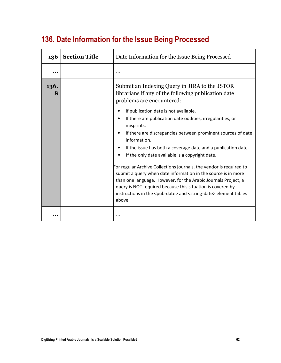| 136       | <b>Section Title</b> | Date Information for the Issue Being Processed                                                                                                                                                                                                                                                                                                                              |  |
|-----------|----------------------|-----------------------------------------------------------------------------------------------------------------------------------------------------------------------------------------------------------------------------------------------------------------------------------------------------------------------------------------------------------------------------|--|
| $\cdots$  |                      |                                                                                                                                                                                                                                                                                                                                                                             |  |
| 136.<br>8 |                      | Submit an Indexing Query in JIRA to the JSTOR<br>librarians if any of the following publication date<br>problems are encountered:                                                                                                                                                                                                                                           |  |
|           |                      | If publication date is not available.<br>If there are publication date oddities, irregularities, or<br>misprints.<br>If there are discrepancies between prominent sources of date<br>information.<br>If the issue has both a coverage date and a publication date.<br>If the only date available is a copyright date.                                                       |  |
|           |                      | For regular Archive Collections journals, the vendor is required to<br>submit a query when date information in the source is in more<br>than one language. However, for the Arabic Journals Project, a<br>query is NOT required because this situation is covered by<br>instructions in the <pub-date> and <string-date> element tables<br/>above.</string-date></pub-date> |  |
|           |                      |                                                                                                                                                                                                                                                                                                                                                                             |  |

# <span id="page-62-0"></span>**136. Date Information for the Issue Being Processed**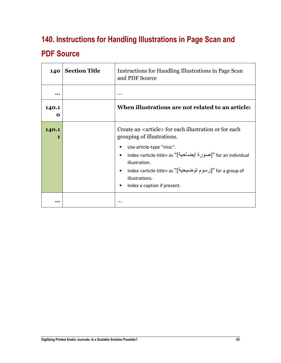# <span id="page-63-0"></span>**140. Instructions for Handling Illustrations in Page Scan and**

#### **PDF Source**

| 140               | <b>Section Title</b> | Instructions for Handling Illustrations in Page Scan<br>and PDF Source                                                                                                                                                                                                                                                                                                                                                                                  |  |
|-------------------|----------------------|---------------------------------------------------------------------------------------------------------------------------------------------------------------------------------------------------------------------------------------------------------------------------------------------------------------------------------------------------------------------------------------------------------------------------------------------------------|--|
|                   |                      | $\cdots$                                                                                                                                                                                                                                                                                                                                                                                                                                                |  |
| 140.1<br>$\Omega$ |                      | When illustrations are not related to an article:                                                                                                                                                                                                                                                                                                                                                                                                       |  |
| 140.1<br>1        |                      | Create an <article> for each illustration or for each<br/>grouping of illustrations.<br/>Use article-type "misc".<br/>lndex <article-title> as "[صورة إيضاحية]" for an individual<br/><math display="inline">\bullet</math><br/>illustration.<br/>lndex <article-title> as "[رسوم توضيحية]" for a group of<br/><math display="inline">\bullet</math><br/>illustrations.<br/>Index a caption if present.<br/>٠</article-title></article-title></article> |  |
|                   |                      |                                                                                                                                                                                                                                                                                                                                                                                                                                                         |  |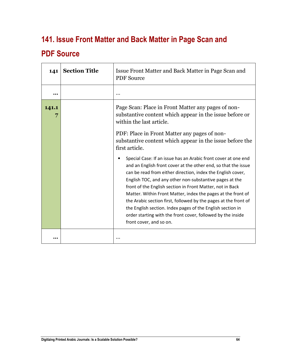# <span id="page-64-0"></span>**141. Issue Front Matter and Back Matter in Page Scan and**

#### **PDF Source**

| 141                     | <b>Section Title</b> | Issue Front Matter and Back Matter in Page Scan and<br><b>PDF</b> Source                                                                                                                                                                                                                                                                                                                                                                                                                                                                                                                                                                                                                                                                                                                                                                                                                      |  |
|-------------------------|----------------------|-----------------------------------------------------------------------------------------------------------------------------------------------------------------------------------------------------------------------------------------------------------------------------------------------------------------------------------------------------------------------------------------------------------------------------------------------------------------------------------------------------------------------------------------------------------------------------------------------------------------------------------------------------------------------------------------------------------------------------------------------------------------------------------------------------------------------------------------------------------------------------------------------|--|
| $\bullet\bullet\bullet$ |                      |                                                                                                                                                                                                                                                                                                                                                                                                                                                                                                                                                                                                                                                                                                                                                                                                                                                                                               |  |
| 141.1<br>7              |                      | Page Scan: Place in Front Matter any pages of non-<br>substantive content which appear in the issue before or<br>within the last article.<br>PDF: Place in Front Matter any pages of non-<br>substantive content which appear in the issue before the<br>first article.<br>Special Case: If an issue has an Arabic front cover at one end<br>and an English front cover at the other end, so that the issue<br>can be read from either direction, index the English cover,<br>English TOC, and any other non-substantive pages at the<br>front of the English section in Front Matter, not in Back<br>Matter. Within Front Matter, index the pages at the front of<br>the Arabic section first, followed by the pages at the front of<br>the English section. Index pages of the English section in<br>order starting with the front cover, followed by the inside<br>front cover, and so on. |  |
|                         |                      |                                                                                                                                                                                                                                                                                                                                                                                                                                                                                                                                                                                                                                                                                                                                                                                                                                                                                               |  |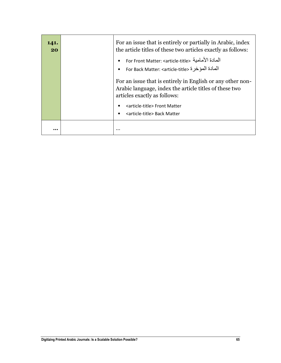| 141.<br>20 | For an issue that is entirely or partially in Arabic, index<br>the article titles of these two articles exactly as follows:<br>• For Front Matter: <article-title> • For Front Matter:<br/>• For Back Matter: <article-title> • For Back Matter:<br/>For an issue that is entirely in English or any other non-<br/>Arabic language, index the article titles of these two<br/>articles exactly as follows:<br/><article-title> Front Matter<br/><article-title> Back Matter</article-title></article-title></article-title></article-title> |
|------------|----------------------------------------------------------------------------------------------------------------------------------------------------------------------------------------------------------------------------------------------------------------------------------------------------------------------------------------------------------------------------------------------------------------------------------------------------------------------------------------------------------------------------------------------|
|            | $\cdots$                                                                                                                                                                                                                                                                                                                                                                                                                                                                                                                                     |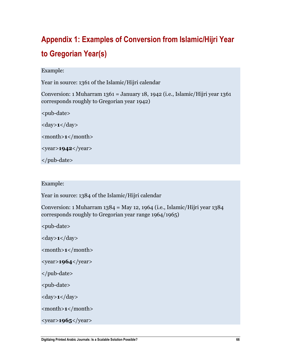# <span id="page-66-0"></span>**Appendix 1: Examples of Conversion from Islamic/Hijri Year to Gregorian Year(s)**

Example:

Year in source: 1361 of the Islamic/Hijri calendar

Conversion: 1 Muharram 1361 = January 18, 1942 (i.e., Islamic/Hijri year 1361 corresponds roughly to Gregorian year 1942)

<pub-date>

 $\langle day>1 \langle day>$ 

<month>**1**</month>

<year>**1942**</year>

</pub-date>

Example:

Year in source: 1384 of the Islamic/Hijri calendar

Conversion: 1 Muharram 1384 = May 12, 1964 (i.e., Islamic/Hijri year 1384 corresponds roughly to Gregorian year range 1964/1965)

<pub-date>

 $\langle day>1$ 

<month>**1**</month>

```
<year>1964</year>
```
</pub-date>

<pub-date>

 $\langle day>1 \langle day>$ 

<month>**1**</month>

<year>**1965**</year>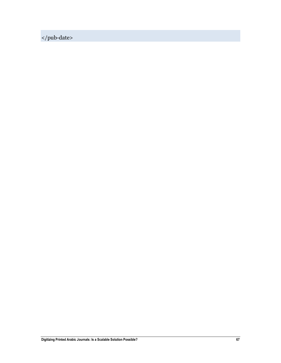</pub-date>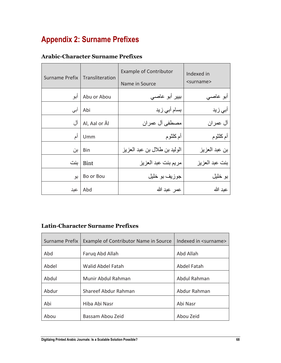# <span id="page-68-0"></span>**Appendix 2: Surname Prefixes**

#### **Arabic-Character Surname Prefixes**

| Surname Prefix | Transliteration | <b>Example of Contributor</b><br>Name in Source | Indexed in<br><surname></surname> |
|----------------|-----------------|-------------------------------------------------|-----------------------------------|
| أبو            | Abu or Abou     | بییر أبو عاصی                                   | ابو عاصبي                         |
| أبى            | Abi             | بسام أب <i>ی</i> زید                            | أبي زيد                           |
| آل             | Al, Aal or Al   | مصطفى أل عمر ان                                 | آل عمران                          |
| ام             | Umm             | أم كلثوم                                        | أم كلثوم                          |
| بن             | <b>Bin</b>      | الوليد بن طلال بن عبد العز بز                   | بن عبد العز يز                    |
| ىنت            | Bint            | مريم بنت عبد العزيز                             | بنت عبد العز يز                   |
| بو             | Bo or Bou       | جوزيف بو خليل                                   | بو خليل                           |
| عيد            | Abd             | عمر عبد الله                                    | عبد الله                          |

#### **Latin-Character Surname Prefixes**

| <b>Surname Prefix</b> | Example of Contributor Name in Source | Indexed in <surname></surname> |
|-----------------------|---------------------------------------|--------------------------------|
| Abd                   | Farug Abd Allah                       | Abd Allah                      |
| Abdel                 | Walid Abdel Fatah                     | Abdel Fatah                    |
| Abdul                 | Munir Abdul Rahman                    | Abdul Rahman                   |
| Abdur                 | Shareef Abdur Rahman                  | Abdur Rahman                   |
| Abi                   | Hiba Abi Nasr                         | Abi Nasr                       |
| Abou                  | Bassam Abou Zeid                      | Abou Zeid                      |